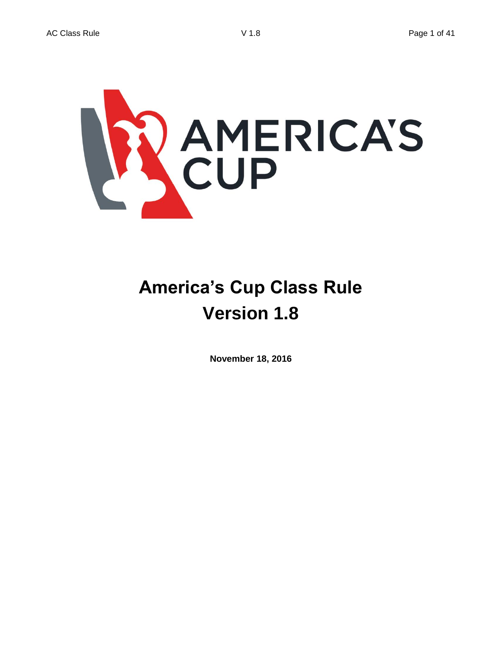

# **America's Cup Class Rule Version 1.8**

**November 18, 2016**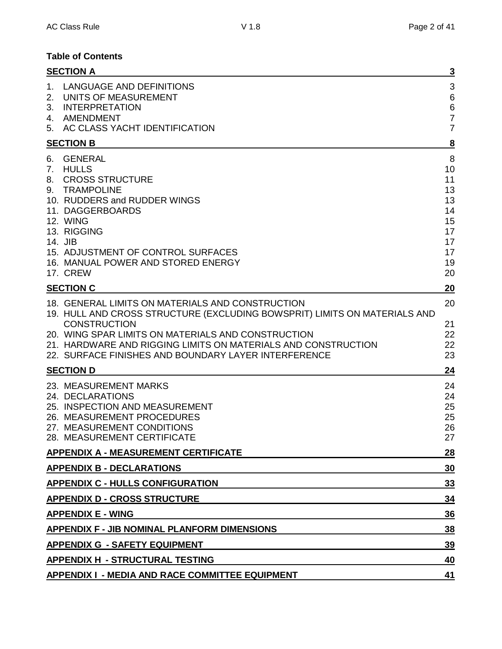## **Table of Contents**

| <b>SECTION A</b>                                                                                                                                                                                                                                                                        | $\overline{\mathbf{3}}$                                             |
|-----------------------------------------------------------------------------------------------------------------------------------------------------------------------------------------------------------------------------------------------------------------------------------------|---------------------------------------------------------------------|
| LANGUAGE AND DEFINITIONS<br>1.<br>2.<br>UNITS OF MEASUREMENT<br><b>INTERPRETATION</b><br>3.<br>4. AMENDMENT                                                                                                                                                                             | 3<br>$6\phantom{1}6$<br>$\,$ 6 $\,$<br>$\overline{7}$               |
| 5. AC CLASS YACHT IDENTIFICATION                                                                                                                                                                                                                                                        | $\overline{7}$                                                      |
| <b>SECTION B</b>                                                                                                                                                                                                                                                                        | 8                                                                   |
| <b>GENERAL</b><br>6.<br><b>HULLS</b><br>7.<br><b>CROSS STRUCTURE</b><br>8.<br><b>TRAMPOLINE</b><br>9.<br>10. RUDDERS and RUDDER WINGS<br>11. DAGGERBOARDS<br>12. WING<br>13. RIGGING<br>14. JIB<br>15. ADJUSTMENT OF CONTROL SURFACES<br>16. MANUAL POWER AND STORED ENERGY<br>17. CREW | 8<br>10<br>11<br>13<br>13<br>14<br>15<br>17<br>17<br>17<br>19<br>20 |
| <b>SECTION C</b>                                                                                                                                                                                                                                                                        | 20                                                                  |
| 18. GENERAL LIMITS ON MATERIALS AND CONSTRUCTION<br>19. HULL AND CROSS STRUCTURE (EXCLUDING BOWSPRIT) LIMITS ON MATERIALS AND                                                                                                                                                           | 20                                                                  |
| <b>CONSTRUCTION</b><br>20. WING SPAR LIMITS ON MATERIALS AND CONSTRUCTION<br>21. HARDWARE AND RIGGING LIMITS ON MATERIALS AND CONSTRUCTION<br>22. SURFACE FINISHES AND BOUNDARY LAYER INTERFERENCE                                                                                      | 21<br>22<br>22<br>23                                                |
| <b>SECTION D</b>                                                                                                                                                                                                                                                                        | 24                                                                  |
| 23. MEASUREMENT MARKS<br>24. DECLARATIONS<br>25. INSPECTION AND MEASUREMENT<br>26. MEASUREMENT PROCEDURES<br>27. MEASUREMENT CONDITIONS<br>28. MEASUREMENT CERTIFICATE                                                                                                                  | 24<br>24<br>25<br>25<br>26<br>27                                    |
| <b>APPENDIX A - MEASUREMENT CERTIFICATE</b>                                                                                                                                                                                                                                             | 28                                                                  |
| <b>APPENDIX B - DECLARATIONS</b>                                                                                                                                                                                                                                                        | 30                                                                  |
| <b>APPENDIX C - HULLS CONFIGURATION</b>                                                                                                                                                                                                                                                 | <u>33</u>                                                           |
| <b>APPENDIX D - CROSS STRUCTURE</b>                                                                                                                                                                                                                                                     | 34                                                                  |
| <b>APPENDIX E - WING</b>                                                                                                                                                                                                                                                                | 36                                                                  |
| <b>APPENDIX F - JIB NOMINAL PLANFORM DIMENSIONS</b>                                                                                                                                                                                                                                     | 38                                                                  |
| <b>APPENDIX G - SAFETY EQUIPMENT</b>                                                                                                                                                                                                                                                    | <u>39</u>                                                           |
| <b>APPENDIX H - STRUCTURAL TESTING</b>                                                                                                                                                                                                                                                  | 40                                                                  |
| <b>APPENDIX I - MEDIA AND RACE COMMITTEE EQUIPMENT</b>                                                                                                                                                                                                                                  | 41                                                                  |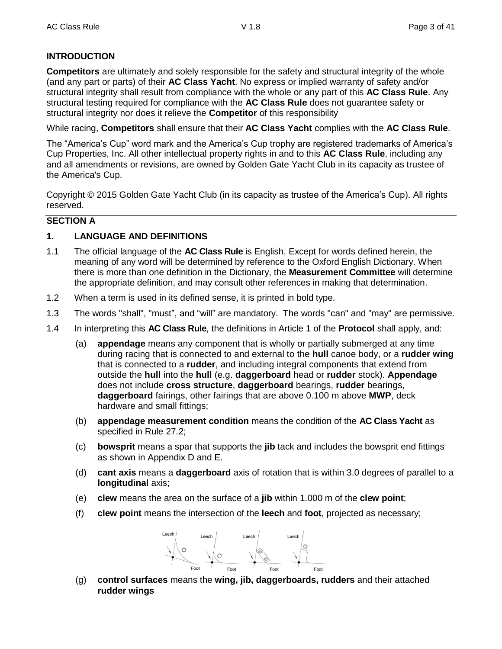## **INTRODUCTION**

**Competitors** are ultimately and solely responsible for the safety and structural integrity of the whole (and any part or parts) of their **AC Class Yacht**. No express or implied warranty of safety and/or structural integrity shall result from compliance with the whole or any part of this **AC Class Rule**. Any structural testing required for compliance with the **AC Class Rule** does not guarantee safety or structural integrity nor does it relieve the **Competitor** of this responsibility

While racing, **Competitors** shall ensure that their **AC Class Yacht** complies with the **AC Class Rule**.

The "America's Cup" word mark and the America's Cup trophy are registered trademarks of America's Cup Properties, Inc. All other intellectual property rights in and to this **AC Class Rule**, including any and all amendments or revisions, are owned by Golden Gate Yacht Club in its capacity as trustee of the America's Cup.

Copyright © 2015 Golden Gate Yacht Club (in its capacity as trustee of the America's Cup). All rights reserved.

## **SECTION A**

## **1. LANGUAGE AND DEFINITIONS**

- 1.1 The official language of the **AC Class Rule** is English. Except for words defined herein, the meaning of any word will be determined by reference to the Oxford English Dictionary. When there is more than one definition in the Dictionary, the **Measurement Committee** will determine the appropriate definition, and may consult other references in making that determination.
- 1.2 When a term is used in its defined sense, it is printed in bold type.
- 1.3 The words "shall", "must", and "will" are mandatory. The words "can" and "may" are permissive.
- 1.4 In interpreting this **AC Class Rule**, the definitions in Article 1 of the **Protocol** shall apply, and:
	- (a) **appendage** means any component that is wholly or partially submerged at any time during racing that is connected to and external to the **hull** canoe body, or a **rudder wing** that is connected to a **rudder**, and including integral components that extend from outside the **hull** into the **hull** (e.g. **daggerboard** head or **rudder** stock). **Appendage** does not include **cross structure**, **daggerboard** bearings, **rudder** bearings, **daggerboard** fairings, other fairings that are above 0.100 m above **MWP**, deck hardware and small fittings;
	- (b) **appendage measurement condition** means the condition of the **AC Class Yacht** as specified in Rule 27.2;
	- (c) **bowsprit** means a spar that supports the **jib** tack and includes the bowsprit end fittings as shown in Appendix D and E.
	- (d) **cant axis** means a **daggerboard** axis of rotation that is within 3.0 degrees of parallel to a **longitudinal** axis;
	- (e) **clew** means the area on the surface of a **jib** within 1.000 m of the **clew point**;
	- (f) **clew point** means the intersection of the **leech** and **foot**, projected as necessary;



(g) **control surfaces** means the **wing, jib, daggerboards, rudders** and their attached **rudder wings**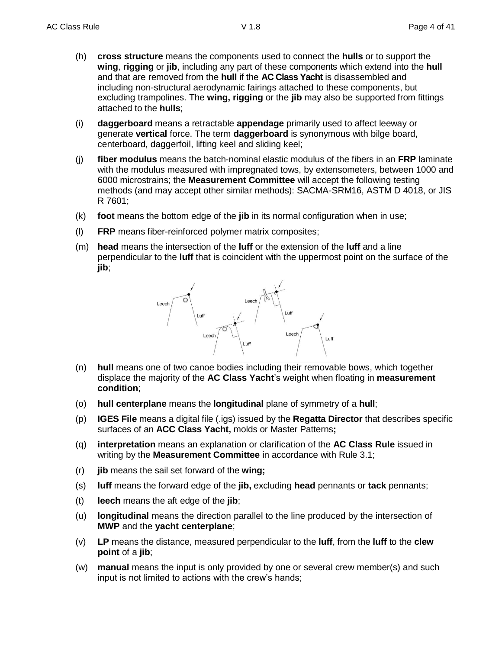- (h) **cross structure** means the components used to connect the **hulls** or to support the **wing**, **rigging** or **jib**, including any part of these components which extend into the **hull** and that are removed from the **hull** if the **AC Class Yacht** is disassembled and including non-structural aerodynamic fairings attached to these components, but excluding trampolines. The **wing, rigging** or the **jib** may also be supported from fittings attached to the **hulls**;
- (i) **daggerboard** means a retractable **appendage** primarily used to affect leeway or generate **vertical** force. The term **daggerboard** is synonymous with bilge board, centerboard, daggerfoil, lifting keel and sliding keel;
- (j) **fiber modulus** means the batch-nominal elastic modulus of the fibers in an **FRP** laminate with the modulus measured with impregnated tows, by extensometers, between 1000 and 6000 microstrains; the **Measurement Committee** will accept the following testing methods (and may accept other similar methods): SACMA-SRM16, ASTM D 4018, or JIS R 7601;
- (k) **foot** means the bottom edge of the **jib** in its normal configuration when in use;
- (l) **FRP** means fiber-reinforced polymer matrix composites;
- (m) **head** means the intersection of the **luff** or the extension of the **luff** and a line perpendicular to the **luff** that is coincident with the uppermost point on the surface of the **jib**;



- (n) **hull** means one of two canoe bodies including their removable bows, which together displace the majority of the **AC Class Yacht**'s weight when floating in **measurement condition**;
- (o) **hull centerplane** means the **longitudinal** plane of symmetry of a **hull**;
- (p) **IGES File** means a digital file (.igs) issued by the **Regatta Director** that describes specific surfaces of an **ACC Class Yacht,** molds or Master Patterns**;**
- (q) **interpretation** means an explanation or clarification of the **AC Class Rule** issued in writing by the **Measurement Committee** in accordance with Rule 3.1;
- (r) **jib** means the sail set forward of the **wing;**
- (s) **luff** means the forward edge of the **jib,** excluding **head** pennants or **tack** pennants;
- (t) **leech** means the aft edge of the **jib**;
- (u) **longitudinal** means the direction parallel to the line produced by the intersection of **MWP** and the **yacht centerplane**;
- (v) **LP** means the distance, measured perpendicular to the **luff**, from the **luff** to the **clew point** of a **jib**;
- (w) **manual** means the input is only provided by one or several crew member(s) and such input is not limited to actions with the crew's hands;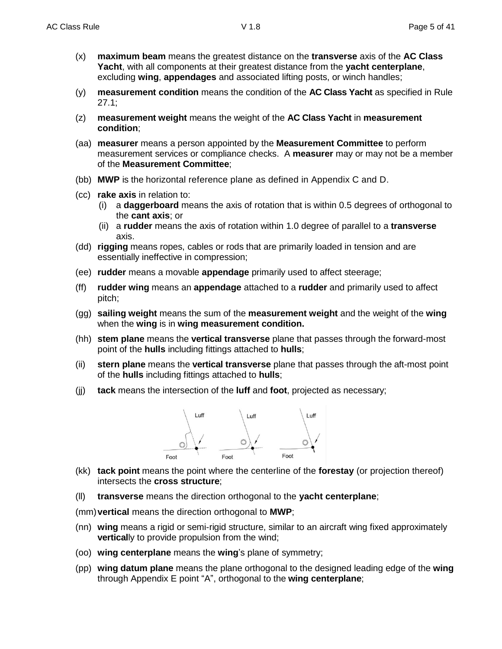- (x) **maximum beam** means the greatest distance on the **transverse** axis of the **AC Class Yacht**, with all components at their greatest distance from the **yacht centerplane**, excluding **wing**, **appendages** and associated lifting posts, or winch handles;
- (y) **measurement condition** means the condition of the **AC Class Yacht** as specified in Rule 27.1;
- (z) **measurement weight** means the weight of the **AC Class Yacht** in **measurement condition**;
- (aa) **measurer** means a person appointed by the **Measurement Committee** to perform measurement services or compliance checks. A **measurer** may or may not be a member of the **Measurement Committee**;
- (bb) **MWP** is the horizontal reference plane as defined in Appendix C and D.
- (cc) **rake axis** in relation to:
	- (i) a **daggerboard** means the axis of rotation that is within 0.5 degrees of orthogonal to the **cant axis**; or
	- (ii) a **rudder** means the axis of rotation within 1.0 degree of parallel to a **transverse** axis.
- (dd) **rigging** means ropes, cables or rods that are primarily loaded in tension and are essentially ineffective in compression;
- (ee) **rudder** means a movable **appendage** primarily used to affect steerage;
- (ff) **rudder wing** means an **appendage** attached to a **rudder** and primarily used to affect pitch;
- (gg) **sailing weight** means the sum of the **measurement weight** and the weight of the **wing** when the **wing** is in **wing measurement condition.**
- (hh) **stem plane** means the **vertical transverse** plane that passes through the forward-most point of the **hulls** including fittings attached to **hulls**;
- (ii) **stern plane** means the **vertical transverse** plane that passes through the aft-most point of the **hulls** including fittings attached to **hulls**;
- (jj) **tack** means the intersection of the **luff** and **foot**, projected as necessary;



- (kk) **tack point** means the point where the centerline of the **forestay** (or projection thereof) intersects the **cross structure**;
- (ll) **transverse** means the direction orthogonal to the **yacht centerplane**;
- (mm)**vertical** means the direction orthogonal to **MWP**;
- (nn) **wing** means a rigid or semi-rigid structure, similar to an aircraft wing fixed approximately **vertical**ly to provide propulsion from the wind;
- (oo) **wing centerplane** means the **wing**'s plane of symmetry;
- (pp) **wing datum plane** means the plane orthogonal to the designed leading edge of the **wing** through Appendix E point "A", orthogonal to the **wing centerplane**;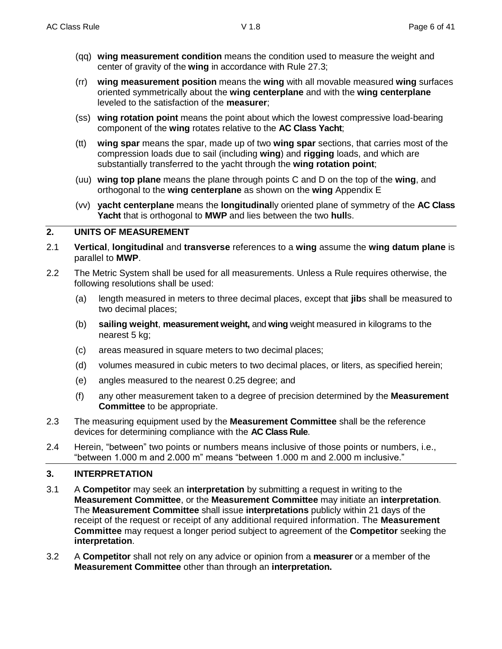- (qq) **wing measurement condition** means the condition used to measure the weight and center of gravity of the **wing** in accordance with Rule 27.3;
- (rr) **wing measurement position** means the **wing** with all movable measured **wing** surfaces oriented symmetrically about the **wing centerplane** and with the **wing centerplane** leveled to the satisfaction of the **measurer**;
- (ss) **wing rotation point** means the point about which the lowest compressive load-bearing component of the **wing** rotates relative to the **AC Class Yacht**;
- (tt) **wing spar** means the spar, made up of two **wing spar** sections, that carries most of the compression loads due to sail (including **wing**) and **rigging** loads, and which are substantially transferred to the yacht through the **wing rotation point**;
- (uu) **wing top plane** means the plane through points C and D on the top of the **wing**, and orthogonal to the **wing centerplane** as shown on the **wing** Appendix E
- (vv) **yacht centerplane** means the **longitudinal**ly oriented plane of symmetry of the **AC Class Yacht** that is orthogonal to **MWP** and lies between the two **hull**s.

## **2. UNITS OF MEASUREMENT**

- 2.1 **Vertical**, **longitudinal** and **transverse** references to a **wing** assume the **wing datum plane** is parallel to **MWP**.
- 2.2 The Metric System shall be used for all measurements. Unless a Rule requires otherwise, the following resolutions shall be used:
	- (a) length measured in meters to three decimal places, except that **jib**s shall be measured to two decimal places;
	- (b) **sailing weight**, **measurement weight,** and **wing** weight measured in kilograms to the nearest 5 kg;
	- (c) areas measured in square meters to two decimal places;
	- (d) volumes measured in cubic meters to two decimal places, or liters, as specified herein;
	- (e) angles measured to the nearest 0.25 degree; and
	- (f) any other measurement taken to a degree of precision determined by the **Measurement Committee** to be appropriate.
- 2.3 The measuring equipment used by the **Measurement Committee** shall be the reference devices for determining compliance with the **AC Class Rule**.
- 2.4 Herein, "between" two points or numbers means inclusive of those points or numbers, i.e., "between 1.000 m and 2.000 m" means "between 1.000 m and 2.000 m inclusive."

## **3. INTERPRETATION**

- 3.1 A **Competitor** may seek an **interpretation** by submitting a request in writing to the **Measurement Committee**, or the **Measurement Committee** may initiate an **interpretation**. The **Measurement Committee** shall issue **interpretations** publicly within 21 days of the receipt of the request or receipt of any additional required information. The **Measurement Committee** may request a longer period subject to agreement of the **Competitor** seeking the **interpretation**.
- 3.2 A **Competitor** shall not rely on any advice or opinion from a **measurer** or a member of the **Measurement Committee** other than through an **interpretation.**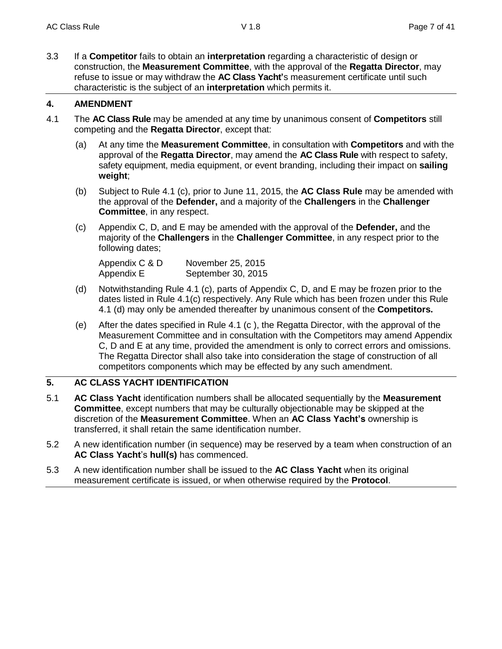3.3 If a **Competitor** fails to obtain an **interpretation** regarding a characteristic of design or construction, the **Measurement Committee**, with the approval of the **Regatta Director**, may refuse to issue or may withdraw the **AC Class Yacht'**s measurement certificate until such characteristic is the subject of an **interpretation** which permits it.

## **4. AMENDMENT**

- 4.1 The **AC Class Rule** may be amended at any time by unanimous consent of **Competitors** still competing and the **Regatta Director**, except that:
	- (a) At any time the **Measurement Committee**, in consultation with **Competitors** and with the approval of the **Regatta Director**, may amend the **AC Class Rule** with respect to safety, safety equipment, media equipment, or event branding, including their impact on **sailing weight**;
	- (b) Subject to Rule 4.1 (c), prior to June 11, 2015, the **AC Class Rule** may be amended with the approval of the **Defender,** and a majority of the **Challengers** in the **Challenger Committee**, in any respect.
	- (c) Appendix C, D, and E may be amended with the approval of the **Defender,** and the majority of the **Challengers** in the **Challenger Committee**, in any respect prior to the following dates;

| Appendix C & D | November 25, 2015  |
|----------------|--------------------|
| Appendix E     | September 30, 2015 |

- (d) Notwithstanding Rule 4.1 (c), parts of Appendix C, D, and E may be frozen prior to the dates listed in Rule 4.1(c) respectively. Any Rule which has been frozen under this Rule 4.1 (d) may only be amended thereafter by unanimous consent of the **Competitors.**
- (e) After the dates specified in Rule 4.1 (c ), the Regatta Director, with the approval of the Measurement Committee and in consultation with the Competitors may amend Appendix C, D and E at any time, provided the amendment is only to correct errors and omissions. The Regatta Director shall also take into consideration the stage of construction of all competitors components which may be effected by any such amendment.

## **5. AC CLASS YACHT IDENTIFICATION**

- 5.1 **AC Class Yacht** identification numbers shall be allocated sequentially by the **Measurement Committee**, except numbers that may be culturally objectionable may be skipped at the discretion of the **Measurement Committee**. When an **AC Class Yacht's** ownership is transferred, it shall retain the same identification number.
- 5.2 A new identification number (in sequence) may be reserved by a team when construction of an **AC Class Yacht**'s **hull(s)** has commenced.
- 5.3 A new identification number shall be issued to the **AC Class Yacht** when its original measurement certificate is issued, or when otherwise required by the **Protocol**.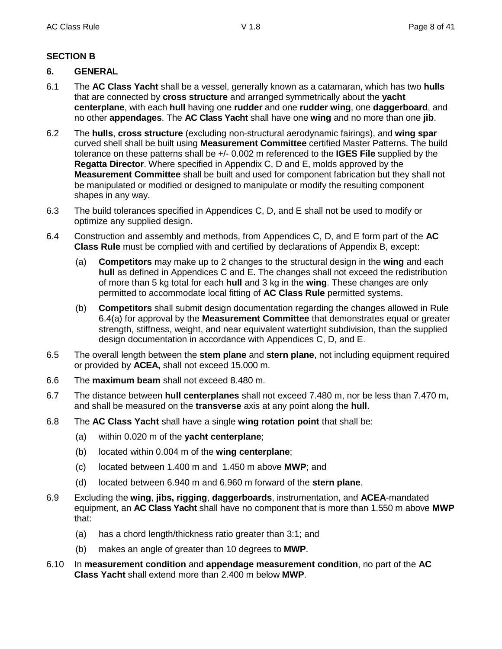## **SECTION B**

## **6. GENERAL**

- 6.1 The **AC Class Yacht** shall be a vessel, generally known as a catamaran, which has two **hulls** that are connected by **cross structure** and arranged symmetrically about the **yacht centerplane**, with each **hull** having one **rudder** and one **rudder wing**, one **daggerboard**, and no other **appendages**. The **AC Class Yacht** shall have one **wing** and no more than one **jib**.
- 6.2 The **hulls**, **cross structure** (excluding non-structural aerodynamic fairings), and **wing spar** curved shell shall be built using **Measurement Committee** certified Master Patterns. The build tolerance on these patterns shall be +/- 0.002 m referenced to the **IGES File** supplied by the **Regatta Director**. Where specified in Appendix C, D and E, molds approved by the **Measurement Committee** shall be built and used for component fabrication but they shall not be manipulated or modified or designed to manipulate or modify the resulting component shapes in any way.
- 6.3 The build tolerances specified in Appendices C, D, and E shall not be used to modify or optimize any supplied design.
- 6.4 Construction and assembly and methods, from Appendices C, D, and E form part of the **AC Class Rule** must be complied with and certified by declarations of Appendix B, except:
	- (a) **Competitors** may make up to 2 changes to the structural design in the **wing** and each **hull** as defined in Appendices C and E. The changes shall not exceed the redistribution of more than 5 kg total for each **hull** and 3 kg in the **wing**. These changes are only permitted to accommodate local fitting of **AC Class Rule** permitted systems.
	- (b) **Competitors** shall submit design documentation regarding the changes allowed in Rule 6.4(a) for approval by the **Measurement Committee** that demonstrates equal or greater strength, stiffness, weight, and near equivalent watertight subdivision, than the supplied design documentation in accordance with Appendices C, D, and E.
- 6.5 The overall length between the **stem plane** and **stern plane**, not including equipment required or provided by **ACEA,** shall not exceed 15.000 m.
- 6.6 The **maximum beam** shall not exceed 8.480 m.
- 6.7 The distance between **hull centerplanes** shall not exceed 7.480 m, nor be less than 7.470 m, and shall be measured on the **transverse** axis at any point along the **hull**.
- 6.8 The **AC Class Yacht** shall have a single **wing rotation point** that shall be:
	- (a) within 0.020 m of the **yacht centerplane**;
	- (b) located within 0.004 m of the **wing centerplane**;
	- (c) located between 1.400 m and 1.450 m above **MWP**; and
	- (d) located between 6.940 m and 6.960 m forward of the **stern plane**.
- 6.9 Excluding the **wing**, **jibs, rigging**, **daggerboards**, instrumentation, and **ACEA**-mandated equipment, an **AC Class Yacht** shall have no component that is more than 1.550 m above **MWP** that:
	- (a) has a chord length/thickness ratio greater than 3:1; and
	- (b) makes an angle of greater than 10 degrees to **MWP**.
- 6.10 In **measurement condition** and **appendage measurement condition**, no part of the **AC Class Yacht** shall extend more than 2.400 m below **MWP**.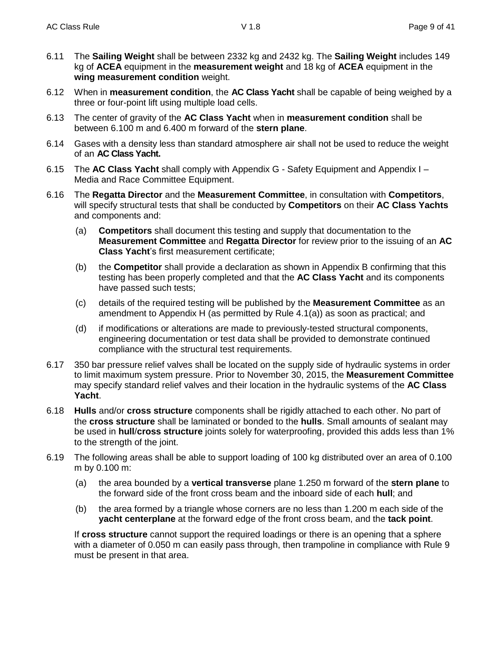- 6.11 The **Sailing Weight** shall be between 2332 kg and 2432 kg. The **Sailing Weight** includes 149 kg of **ACEA** equipment in the **measurement weight** and 18 kg of **ACEA** equipment in the **wing measurement condition** weight.
- 6.12 When in **measurement condition**, the **AC Class Yacht** shall be capable of being weighed by a three or four-point lift using multiple load cells.
- 6.13 The center of gravity of the **AC Class Yacht** when in **measurement condition** shall be between 6.100 m and 6.400 m forward of the **stern plane**.
- 6.14 Gases with a density less than standard atmosphere air shall not be used to reduce the weight of an **AC Class Yacht.**
- 6.15 The **AC Class Yacht** shall comply with Appendix G Safety Equipment and Appendix I Media and Race Committee Equipment.
- 6.16 The **Regatta Director** and the **Measurement Committee**, in consultation with **Competitors**, will specify structural tests that shall be conducted by **Competitors** on their **AC Class Yachts** and components and:
	- (a) **Competitors** shall document this testing and supply that documentation to the **Measurement Committee** and **Regatta Director** for review prior to the issuing of an **AC Class Yacht**'s first measurement certificate;
	- (b) the **Competitor** shall provide a declaration as shown in Appendix B confirming that this testing has been properly completed and that the **AC Class Yacht** and its components have passed such tests;
	- (c) details of the required testing will be published by the **Measurement Committee** as an amendment to Appendix H (as permitted by Rule 4.1(a)) as soon as practical; and
	- (d) if modifications or alterations are made to previously-tested structural components, engineering documentation or test data shall be provided to demonstrate continued compliance with the structural test requirements.
- 6.17 350 bar pressure relief valves shall be located on the supply side of hydraulic systems in order to limit maximum system pressure. Prior to November 30, 2015, the **Measurement Committee** may specify standard relief valves and their location in the hydraulic systems of the **AC Class Yacht**.
- 6.18 **Hulls** and/or **cross structure** components shall be rigidly attached to each other. No part of the **cross structure** shall be laminated or bonded to the **hulls**. Small amounts of sealant may be used in **hull**/**cross structure** joints solely for waterproofing, provided this adds less than 1% to the strength of the joint.
- 6.19 The following areas shall be able to support loading of 100 kg distributed over an area of 0.100 m by 0.100 m:
	- (a) the area bounded by a **vertical transverse** plane 1.250 m forward of the **stern plane** to the forward side of the front cross beam and the inboard side of each **hull**; and
	- (b) the area formed by a triangle whose corners are no less than 1.200 m each side of the **yacht centerplane** at the forward edge of the front cross beam, and the **tack point**.

If **cross structure** cannot support the required loadings or there is an opening that a sphere with a diameter of 0.050 m can easily pass through, then trampoline in compliance with Rule 9 must be present in that area.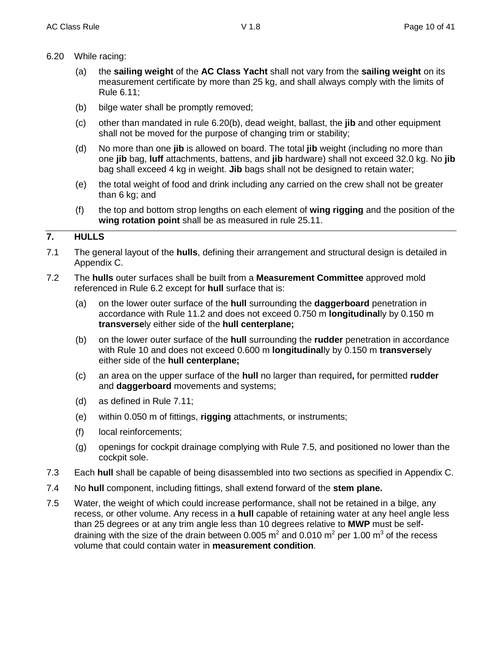- 6.20 While racing:
	- (a) the **sailing weight** of the **AC Class Yacht** shall not vary from the **sailing weight** on its measurement certificate by more than 25 kg, and shall always comply with the limits of Rule 6.11;
	- (b) bilge water shall be promptly removed;
	- (c) other than mandated in rule 6.20(b), dead weight, ballast, the **jib** and other equipment shall not be moved for the purpose of changing trim or stability;
	- (d) No more than one **jib** is allowed on board. The total **jib** weight (including no more than one **jib** bag, **luff** attachments, battens, and **jib** hardware) shall not exceed 32.0 kg. No **jib** bag shall exceed 4 kg in weight. **Jib** bags shall not be designed to retain water;
	- (e) the total weight of food and drink including any carried on the crew shall not be greater than 6 kg; and
	- (f) the top and bottom strop lengths on each element of **wing rigging** and the position of the **wing rotation point** shall be as measured in rule 25.11.

## **7. HULLS**

- 7.1 The general layout of the **hulls**, defining their arrangement and structural design is detailed in Appendix C.
- 7.2 The **hulls** outer surfaces shall be built from a **Measurement Committee** approved mold referenced in Rule 6.2 except for **hull** surface that is:
	- (a) on the lower outer surface of the **hull** surrounding the **daggerboard** penetration in accordance with Rule 11.2 and does not exceed 0.750 m **longitudinal**ly by 0.150 m **transverse**ly either side of the **hull centerplane;**
	- (b) on the lower outer surface of the **hull** surrounding the **rudder** penetration in accordance with Rule 10 and does not exceed 0.600 m **longitudinal**ly by 0.150 m **transverse**ly either side of the **hull centerplane;**
	- (c) an area on the upper surface of the **hull** no larger than required**,** for permitted **rudder** and **daggerboard** movements and systems;
	- (d) as defined in Rule 7.11;
	- (e) within 0.050 m of fittings, **rigging** attachments, or instruments;
	- (f) local reinforcements;
	- (g) openings for cockpit drainage complying with Rule 7.5, and positioned no lower than the cockpit sole.
- 7.3 Each **hull** shall be capable of being disassembled into two sections as specified in Appendix C.
- 7.4 No **hull** component, including fittings, shall extend forward of the **stem plane.**
- 7.5 Water, the weight of which could increase performance, shall not be retained in a bilge, any recess, or other volume. Any recess in a **hull** capable of retaining water at any heel angle less than 25 degrees or at any trim angle less than 10 degrees relative to **MWP** must be selfdraining with the size of the drain between 0.005 m<sup>2</sup> and 0.010 m<sup>2</sup> per 1.00 m<sup>3</sup> of the recess volume that could contain water in **measurement condition**.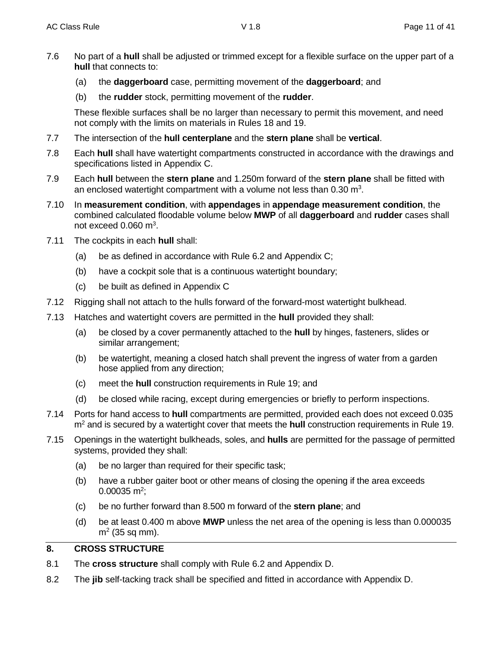- 7.6 No part of a **hull** shall be adjusted or trimmed except for a flexible surface on the upper part of a **hull** that connects to:
	- (a) the **daggerboard** case, permitting movement of the **daggerboard**; and
	- (b) the **rudder** stock, permitting movement of the **rudder**.

These flexible surfaces shall be no larger than necessary to permit this movement, and need not comply with the limits on materials in Rules 18 and 19.

- 7.7 The intersection of the **hull centerplane** and the **stern plane** shall be **vertical**.
- 7.8 Each **hull** shall have watertight compartments constructed in accordance with the drawings and specifications listed in Appendix C.
- 7.9 Each **hull** between the **stern plane** and 1.250m forward of the **stern plane** shall be fitted with an enclosed watertight compartment with a volume not less than 0.30 m<sup>3</sup>.
- 7.10 In **measurement condition**, with **appendages** in **appendage measurement condition**, the combined calculated floodable volume below **MWP** of all **daggerboard** and **rudder** cases shall not exceed  $0.060$  m<sup>3</sup>.
- 7.11 The cockpits in each **hull** shall:
	- (a) be as defined in accordance with Rule 6.2 and Appendix C;
	- (b) have a cockpit sole that is a continuous watertight boundary;
	- (c) be built as defined in Appendix C
- 7.12 Rigging shall not attach to the hulls forward of the forward-most watertight bulkhead.
- 7.13 Hatches and watertight covers are permitted in the **hull** provided they shall:
	- (a) be closed by a cover permanently attached to the **hull** by hinges, fasteners, slides or similar arrangement;
	- (b) be watertight, meaning a closed hatch shall prevent the ingress of water from a garden hose applied from any direction;
	- (c) meet the **hull** construction requirements in Rule 19; and
	- (d) be closed while racing, except during emergencies or briefly to perform inspections.
- 7.14 Ports for hand access to **hull** compartments are permitted, provided each does not exceed 0.035 m<sup>2</sup> and is secured by a watertight cover that meets the **hull** construction requirements in Rule 19.
- 7.15 Openings in the watertight bulkheads, soles, and **hulls** are permitted for the passage of permitted systems, provided they shall:
	- (a) be no larger than required for their specific task;
	- (b) have a rubber gaiter boot or other means of closing the opening if the area exceeds  $0.00035$  m<sup>2</sup>;
	- (c) be no further forward than 8.500 m forward of the **stern plane**; and
	- (d) be at least 0.400 m above **MWP** unless the net area of the opening is less than 0.000035  $m<sup>2</sup>$  (35 sq mm).

## **8. CROSS STRUCTURE**

- 8.1 The **cross structure** shall comply with Rule 6.2 and Appendix D.
- 8.2 The **jib** self-tacking track shall be specified and fitted in accordance with Appendix D.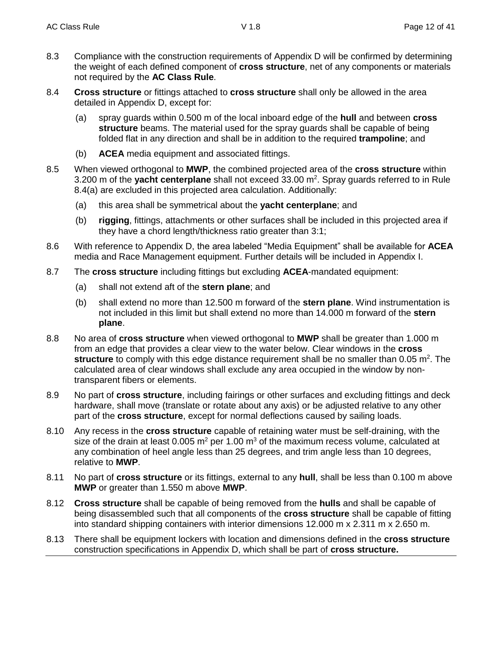- 8.3 Compliance with the construction requirements of Appendix D will be confirmed by determining the weight of each defined component of **cross structure**, net of any components or materials not required by the **AC Class Rule**.
- 8.4 **Cross structure** or fittings attached to **cross structure** shall only be allowed in the area detailed in Appendix D, except for:
	- (a) spray guards within 0.500 m of the local inboard edge of the **hull** and between **cross structure** beams. The material used for the spray guards shall be capable of being folded flat in any direction and shall be in addition to the required **trampoline**; and
	- (b) **ACEA** media equipment and associated fittings.
- 8.5 When viewed orthogonal to **MWP**, the combined projected area of the **cross structure** within 3.200 m of the yacht centerplane shall not exceed 33.00 m<sup>2</sup>. Spray guards referred to in Rule 8.4(a) are excluded in this projected area calculation. Additionally:
	- (a) this area shall be symmetrical about the **yacht centerplane**; and
	- (b) **rigging**, fittings, attachments or other surfaces shall be included in this projected area if they have a chord length/thickness ratio greater than 3:1;
- 8.6 With reference to Appendix D, the area labeled "Media Equipment" shall be available for **ACEA** media and Race Management equipment. Further details will be included in Appendix I.
- 8.7 The **cross structure** including fittings but excluding **ACEA**-mandated equipment:
	- (a) shall not extend aft of the **stern plane**; and
	- (b) shall extend no more than 12.500 m forward of the **stern plane**. Wind instrumentation is not included in this limit but shall extend no more than 14.000 m forward of the **stern plane**.
- 8.8 No area of **cross structure** when viewed orthogonal to **MWP** shall be greater than 1.000 m from an edge that provides a clear view to the water below. Clear windows in the **cross**  structure to comply with this edge distance requirement shall be no smaller than 0.05 m<sup>2</sup>. The calculated area of clear windows shall exclude any area occupied in the window by nontransparent fibers or elements.
- 8.9 No part of **cross structure**, including fairings or other surfaces and excluding fittings and deck hardware, shall move (translate or rotate about any axis) or be adjusted relative to any other part of the **cross structure**, except for normal deflections caused by sailing loads.
- 8.10 Any recess in the **cross structure** capable of retaining water must be self-draining, with the size of the drain at least 0.005  $m^2$  per 1.00  $m^3$  of the maximum recess volume, calculated at any combination of heel angle less than 25 degrees, and trim angle less than 10 degrees, relative to **MWP**.
- 8.11 No part of **cross structure** or its fittings, external to any **hull**, shall be less than 0.100 m above **MWP** or greater than 1.550 m above **MWP**.
- 8.12 **Cross structure** shall be capable of being removed from the **hulls** and shall be capable of being disassembled such that all components of the **cross structure** shall be capable of fitting into standard shipping containers with interior dimensions 12.000 m x 2.311 m x 2.650 m.
- 8.13 There shall be equipment lockers with location and dimensions defined in the **cross structure**  construction specifications in Appendix D, which shall be part of **cross structure.**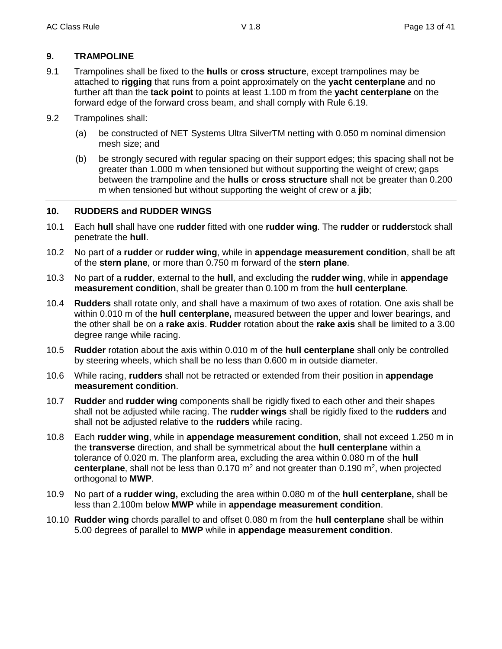## **9. TRAMPOLINE**

- 9.1 Trampolines shall be fixed to the **hulls** or **cross structure**, except trampolines may be attached to **rigging** that runs from a point approximately on the **yacht centerplane** and no further aft than the **tack point** to points at least 1.100 m from the **yacht centerplane** on the forward edge of the forward cross beam, and shall comply with Rule 6.19.
- 9.2 Trampolines shall:
	- (a) be constructed of NET Systems Ultra SilverTM netting with 0.050 m nominal dimension mesh size; and
	- (b) be strongly secured with regular spacing on their support edges; this spacing shall not be greater than 1.000 m when tensioned but without supporting the weight of crew; gaps between the trampoline and the **hulls** or **cross structure** shall not be greater than 0.200 m when tensioned but without supporting the weight of crew or a **jib**;

## **10. RUDDERS and RUDDER WINGS**

- 10.1 Each **hull** shall have one **rudder** fitted with one **rudder wing**. The **rudder** or **rudder**stock shall penetrate the **hull**.
- 10.2 No part of a **rudder** or **rudder wing**, while in **appendage measurement condition**, shall be aft of the **stern plane**, or more than 0.750 m forward of the **stern plane**.
- 10.3 No part of a **rudder**, external to the **hull**, and excluding the **rudder wing**, while in **appendage measurement condition**, shall be greater than 0.100 m from the **hull centerplane**.
- 10.4 **Rudders** shall rotate only, and shall have a maximum of two axes of rotation. One axis shall be within 0.010 m of the **hull centerplane,** measured between the upper and lower bearings, and the other shall be on a **rake axis**. **Rudder** rotation about the **rake axis** shall be limited to a 3.00 degree range while racing.
- 10.5 **Rudder** rotation about the axis within 0.010 m of the **hull centerplane** shall only be controlled by steering wheels, which shall be no less than 0.600 m in outside diameter.
- 10.6 While racing, **rudders** shall not be retracted or extended from their position in **appendage measurement condition**.
- 10.7 **Rudder** and **rudder wing** components shall be rigidly fixed to each other and their shapes shall not be adjusted while racing. The **rudder wings** shall be rigidly fixed to the **rudders** and shall not be adjusted relative to the **rudders** while racing.
- 10.8 Each **rudder wing**, while in **appendage measurement condition**, shall not exceed 1.250 m in the **transverse** direction, and shall be symmetrical about the **hull centerplane** within a tolerance of 0.020 m. The planform area, excluding the area within 0.080 m of the **hull**  centerplane, shall not be less than 0.170 m<sup>2</sup> and not greater than 0.190 m<sup>2</sup>, when projected orthogonal to **MWP**.
- 10.9 No part of a **rudder wing,** excluding the area within 0.080 m of the **hull centerplane,** shall be less than 2.100m below **MWP** while in **appendage measurement condition**.
- 10.10 **Rudder wing** chords parallel to and offset 0.080 m from the **hull centerplane** shall be within 5.00 degrees of parallel to **MWP** while in **appendage measurement condition**.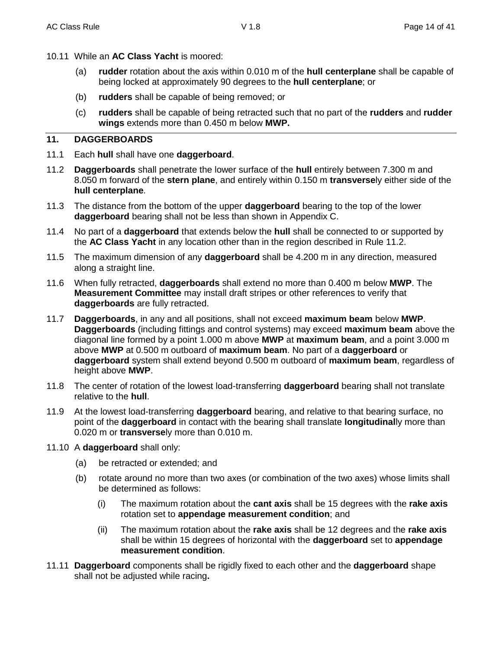- 10.11 While an **AC Class Yacht** is moored:
	- (a) **rudder** rotation about the axis within 0.010 m of the **hull centerplane** shall be capable of being locked at approximately 90 degrees to the **hull centerplane**; or
	- (b) **rudders** shall be capable of being removed; or
	- (c) **rudders** shall be capable of being retracted such that no part of the **rudders** and **rudder wings** extends more than 0.450 m below **MWP.**

## **11. DAGGERBOARDS**

- 11.1 Each **hull** shall have one **daggerboard**.
- 11.2 **Daggerboards** shall penetrate the lower surface of the **hull** entirely between 7.300 m and 8.050 m forward of the **stern plane**, and entirely within 0.150 m **transverse**ly either side of the **hull centerplane**.
- 11.3 The distance from the bottom of the upper **daggerboard** bearing to the top of the lower **daggerboard** bearing shall not be less than shown in Appendix C.
- 11.4 No part of a **daggerboard** that extends below the **hull** shall be connected to or supported by the **AC Class Yacht** in any location other than in the region described in Rule 11.2.
- 11.5 The maximum dimension of any **daggerboard** shall be 4.200 m in any direction, measured along a straight line.
- 11.6 When fully retracted, **daggerboards** shall extend no more than 0.400 m below **MWP**. The **Measurement Committee** may install draft stripes or other references to verify that **daggerboards** are fully retracted.
- 11.7 **Daggerboards**, in any and all positions, shall not exceed **maximum beam** below **MWP**. **Daggerboards** (including fittings and control systems) may exceed **maximum beam** above the diagonal line formed by a point 1.000 m above **MWP** at **maximum beam**, and a point 3.000 m above **MWP** at 0.500 m outboard of **maximum beam**. No part of a **daggerboard** or **daggerboard** system shall extend beyond 0.500 m outboard of **maximum beam**, regardless of height above **MWP**.
- 11.8 The center of rotation of the lowest load-transferring **daggerboard** bearing shall not translate relative to the **hull**.
- 11.9 At the lowest load-transferring **daggerboard** bearing, and relative to that bearing surface, no point of the **daggerboard** in contact with the bearing shall translate **longitudinal**ly more than 0.020 m or **transverse**ly more than 0.010 m.
- 11.10 A **daggerboard** shall only:
	- (a) be retracted or extended; and
	- (b) rotate around no more than two axes (or combination of the two axes) whose limits shall be determined as follows:
		- (i) The maximum rotation about the **cant axis** shall be 15 degrees with the **rake axis** rotation set to **appendage measurement condition**; and
		- (ii) The maximum rotation about the **rake axis** shall be 12 degrees and the **rake axis** shall be within 15 degrees of horizontal with the **daggerboard** set to **appendage measurement condition**.
- 11.11 **Daggerboard** components shall be rigidly fixed to each other and the **daggerboard** shape shall not be adjusted while racing**.**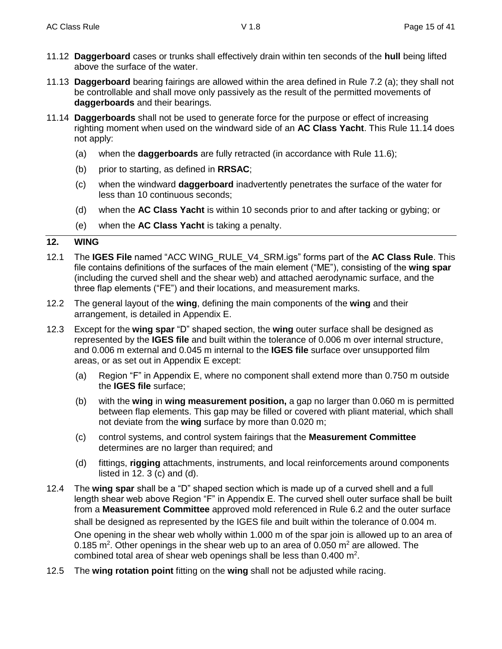- 11.12 **Daggerboard** cases or trunks shall effectively drain within ten seconds of the **hull** being lifted above the surface of the water.
- 11.13 **Daggerboard** bearing fairings are allowed within the area defined in Rule 7.2 (a); they shall not be controllable and shall move only passively as the result of the permitted movements of **daggerboards** and their bearings.
- 11.14 **Daggerboards** shall not be used to generate force for the purpose or effect of increasing righting moment when used on the windward side of an **AC Class Yacht**. This Rule 11.14 does not apply:
	- (a) when the **daggerboards** are fully retracted (in accordance with Rule 11.6);
	- (b) prior to starting, as defined in **RRSAC**;
	- (c) when the windward **daggerboard** inadvertently penetrates the surface of the water for less than 10 continuous seconds;
	- (d) when the **AC Class Yacht** is within 10 seconds prior to and after tacking or gybing; or
	- (e) when the **AC Class Yacht** is taking a penalty.

#### **12. WING**

- 12.1 The **IGES File** named "ACC WING\_RULE\_V4\_SRM.igs" forms part of the **AC Class Rule**. This file contains definitions of the surfaces of the main element ("ME"), consisting of the **wing spar**  (including the curved shell and the shear web) and attached aerodynamic surface, and the three flap elements ("FE") and their locations, and measurement marks.
- 12.2 The general layout of the **wing**, defining the main components of the **wing** and their arrangement, is detailed in Appendix E.
- 12.3 Except for the **wing spar** "D" shaped section, the **wing** outer surface shall be designed as represented by the **IGES file** and built within the tolerance of 0.006 m over internal structure, and 0.006 m external and 0.045 m internal to the **IGES file** surface over unsupported film areas, or as set out in Appendix E except:
	- (a) Region "F" in Appendix E, where no component shall extend more than 0.750 m outside the **IGES file** surface;
	- (b) with the **wing** in **wing measurement position,** a gap no larger than 0.060 m is permitted between flap elements. This gap may be filled or covered with pliant material, which shall not deviate from the **wing** surface by more than 0.020 m;
	- (c) control systems, and control system fairings that the **Measurement Committee** determines are no larger than required; and
	- (d) fittings, **rigging** attachments, instruments, and local reinforcements around components listed in  $12.3$  (c) and (d).
- 12.4 The **wing spar** shall be a "D" shaped section which is made up of a curved shell and a full length shear web above Region "F" in Appendix E. The curved shell outer surface shall be built from a **Measurement Committee** approved mold referenced in Rule 6.2 and the outer surface shall be designed as represented by the IGES file and built within the tolerance of 0.004 m. One opening in the shear web wholly within 1.000 m of the spar join is allowed up to an area of 0.185 m<sup>2</sup>. Other openings in the shear web up to an area of 0.050 m<sup>2</sup> are allowed. The combined total area of shear web openings shall be less than  $0.400$  m<sup>2</sup>.
- 12.5 The **wing rotation point** fitting on the **wing** shall not be adjusted while racing.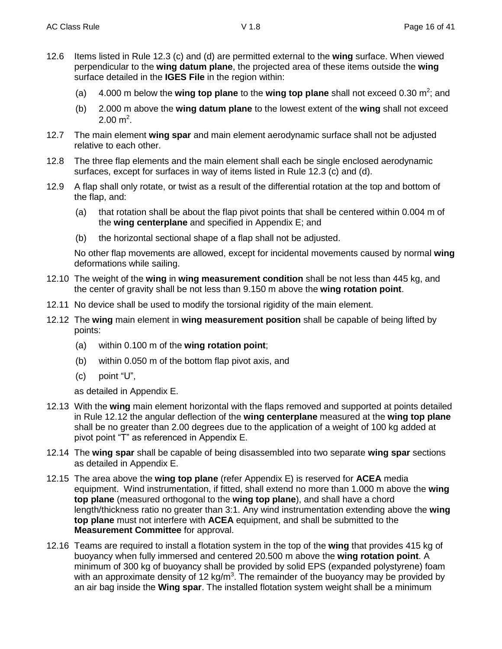- 12.6 Items listed in Rule 12.3 (c) and (d) are permitted external to the **wing** surface. When viewed perpendicular to the wing datum plane, the projected area of these items outside the **wing** surface detailed in the **IGES File** in the region within:
	- (a) 4.000 m below the **wing top plane** to the wing top plane shall not exceed 0.30 m<sup>2</sup>; and
	- (b) 2.000 m above the **wing datum plane** to the lowest extent of the **wing** shall not exceed  $2.00 \text{ m}^2$ .
- 12.7 The main element **wing spar** and main element aerodynamic surface shall not be adjusted relative to each other.
- 12.8 The three flap elements and the main element shall each be single enclosed aerodynamic surfaces, except for surfaces in way of items listed in Rule 12.3 (c) and (d).
- 12.9 A flap shall only rotate, or twist as a result of the differential rotation at the top and bottom of the flap, and:
	- (a) that rotation shall be about the flap pivot points that shall be centered within 0.004 m of the **wing centerplane** and specified in Appendix E; and
	- (b) the horizontal sectional shape of a flap shall not be adjusted.

No other flap movements are allowed, except for incidental movements caused by normal **wing** deformations while sailing.

- 12.10 The weight of the **wing** in **wing measurement condition** shall be not less than 445 kg, and the center of gravity shall be not less than 9.150 m above the **wing rotation point**.
- 12.11 No device shall be used to modify the torsional rigidity of the main element.
- 12.12 The **wing** main element in **wing measurement position** shall be capable of being lifted by points:
	- (a) within 0.100 m of the **wing rotation point**;
	- (b) within 0.050 m of the bottom flap pivot axis, and
	- (c) point "U",

as detailed in Appendix E.

- 12.13 With the **wing** main element horizontal with the flaps removed and supported at points detailed in Rule 12.12 the angular deflection of the **wing centerplane** measured at the **wing top plane** shall be no greater than 2.00 degrees due to the application of a weight of 100 kg added at pivot point "T" as referenced in Appendix E.
- 12.14 The **wing spar** shall be capable of being disassembled into two separate **wing spar** sections as detailed in Appendix E.
- 12.15 The area above the **wing top plane** (refer Appendix E) is reserved for **ACEA** media equipment. Wind instrumentation, if fitted, shall extend no more than 1.000 m above the **wing top plane** (measured orthogonal to the **wing top plane**), and shall have a chord length/thickness ratio no greater than 3:1. Any wind instrumentation extending above the **wing top plane** must not interfere with **ACEA** equipment, and shall be submitted to the **Measurement Committee** for approval.
- 12.16 Teams are required to install a flotation system in the top of the **wing** that provides 415 kg of buoyancy when fully immersed and centered 20.500 m above the **wing rotation point**. A minimum of 300 kg of buoyancy shall be provided by solid EPS (expanded polystyrene) foam with an approximate density of 12 kg/m<sup>3</sup>. The remainder of the buoyancy may be provided by an air bag inside the **Wing spar**. The installed flotation system weight shall be a minimum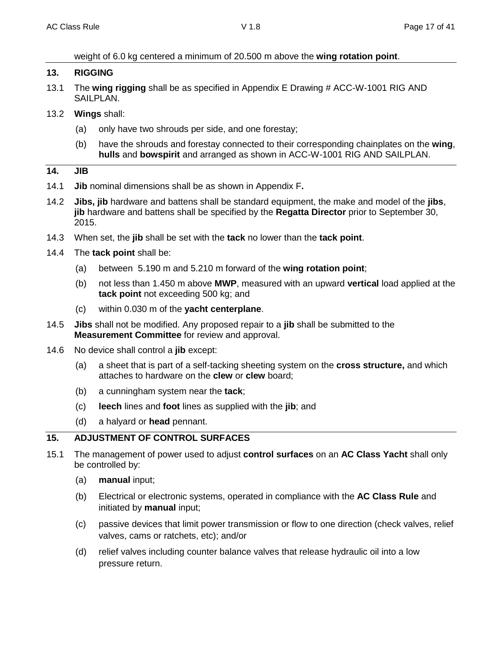weight of 6.0 kg centered a minimum of 20.500 m above the **wing rotation point**.

#### **13. RIGGING**

- 13.1 The **wing rigging** shall be as specified in Appendix E Drawing # ACC-W-1001 RIG AND SAILPLAN.
- 13.2 **Wings** shall:
	- (a) only have two shrouds per side, and one forestay;
	- (b) have the shrouds and forestay connected to their corresponding chainplates on the **wing**, **hulls** and **bowspirit** and arranged as shown in ACC-W-1001 RIG AND SAILPLAN.

#### **14. JIB**

- 14.1 **Jib** nominal dimensions shall be as shown in Appendix F**.**
- 14.2 **Jibs, jib** hardware and battens shall be standard equipment, the make and model of the **jibs**, **jib** hardware and battens shall be specified by the **Regatta Director** prior to September 30, 2015.
- 14.3 When set, the **jib** shall be set with the **tack** no lower than the **tack point**.
- 14.4 The **tack point** shall be:
	- (a) between 5.190 m and 5.210 m forward of the **wing rotation point**;
	- (b) not less than 1.450 m above **MWP**, measured with an upward **vertical** load applied at the **tack point** not exceeding 500 kg; and
	- (c) within 0.030 m of the **yacht centerplane**.
- 14.5 **Jibs** shall not be modified. Any proposed repair to a **jib** shall be submitted to the **Measurement Committee** for review and approval.
- 14.6 No device shall control a **jib** except:
	- (a) a sheet that is part of a self-tacking sheeting system on the **cross structure,** and which attaches to hardware on the **clew** or **clew** board;
	- (b) a cunningham system near the **tack**;
	- (c) **leech** lines and **foot** lines as supplied with the **jib**; and
	- (d) a halyard or **head** pennant.

## **15. ADJUSTMENT OF CONTROL SURFACES**

- 15.1 The management of power used to adjust **control surfaces** on an **AC Class Yacht** shall only be controlled by:
	- (a) **manual** input;
	- (b) Electrical or electronic systems, operated in compliance with the **AC Class Rule** and initiated by **manual** input;
	- (c) passive devices that limit power transmission or flow to one direction (check valves, relief valves, cams or ratchets, etc); and/or
	- (d) relief valves including counter balance valves that release hydraulic oil into a low pressure return.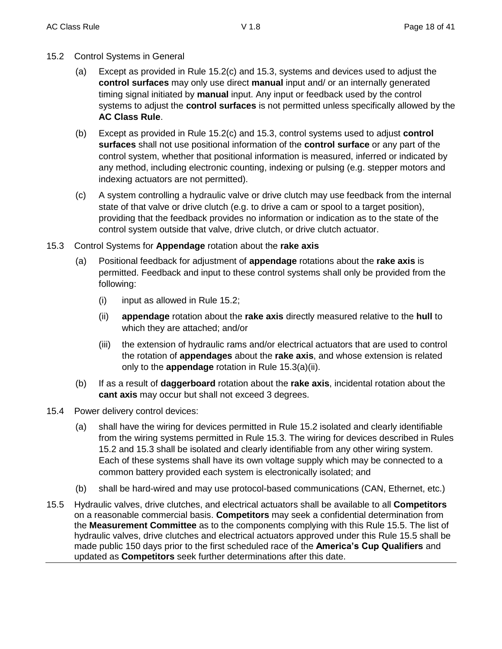- 15.2 Control Systems in General
	- (a) Except as provided in Rule 15.2(c) and 15.3, systems and devices used to adjust the **control surfaces** may only use direct **manual** input and/ or an internally generated timing signal initiated by **manual** input. Any input or feedback used by the control systems to adjust the **control surfaces** is not permitted unless specifically allowed by the **AC Class Rule**.
	- (b) Except as provided in Rule 15.2(c) and 15.3, control systems used to adjust **control surfaces** shall not use positional information of the **control surface** or any part of the control system, whether that positional information is measured, inferred or indicated by any method, including electronic counting, indexing or pulsing (e.g. stepper motors and indexing actuators are not permitted).
	- (c) A system controlling a hydraulic valve or drive clutch may use feedback from the internal state of that valve or drive clutch (e.g. to drive a cam or spool to a target position), providing that the feedback provides no information or indication as to the state of the control system outside that valve, drive clutch, or drive clutch actuator.
- 15.3 Control Systems for **Appendage** rotation about the **rake axis**
	- (a) Positional feedback for adjustment of **appendage** rotations about the **rake axis** is permitted. Feedback and input to these control systems shall only be provided from the following:
		- (i) input as allowed in Rule 15.2;
		- (ii) **appendage** rotation about the **rake axis** directly measured relative to the **hull** to which they are attached; and/or
		- (iii) the extension of hydraulic rams and/or electrical actuators that are used to control the rotation of **appendages** about the **rake axis**, and whose extension is related only to the **appendage** rotation in Rule 15.3(a)(ii).
	- (b) If as a result of **daggerboard** rotation about the **rake axis**, incidental rotation about the **cant axis** may occur but shall not exceed 3 degrees.
- 15.4 Power delivery control devices:
	- (a) shall have the wiring for devices permitted in Rule 15.2 isolated and clearly identifiable from the wiring systems permitted in Rule 15.3. The wiring for devices described in Rules 15.2 and 15.3 shall be isolated and clearly identifiable from any other wiring system. Each of these systems shall have its own voltage supply which may be connected to a common battery provided each system is electronically isolated; and
	- (b) shall be hard-wired and may use protocol-based communications (CAN, Ethernet, etc.)
- 15.5 Hydraulic valves, drive clutches, and electrical actuators shall be available to all **Competitors** on a reasonable commercial basis. **Competitors** may seek a confidential determination from the **Measurement Committee** as to the components complying with this Rule 15.5. The list of hydraulic valves, drive clutches and electrical actuators approved under this Rule 15.5 shall be made public 150 days prior to the first scheduled race of the **America's Cup Qualifiers** and updated as **Competitors** seek further determinations after this date.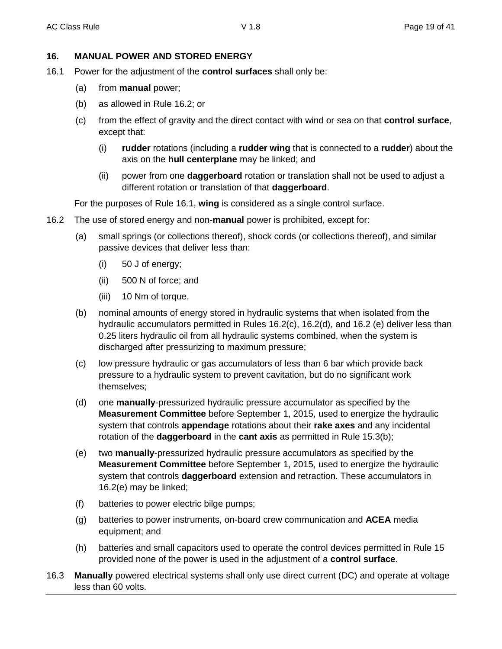## **16. MANUAL POWER AND STORED ENERGY**

- 16.1 Power for the adjustment of the **control surfaces** shall only be:
	- (a) from **manual** power;
	- (b) as allowed in Rule 16.2; or
	- (c) from the effect of gravity and the direct contact with wind or sea on that **control surface**, except that:
		- (i) **rudder** rotations (including a **rudder wing** that is connected to a **rudder**) about the axis on the **hull centerplane** may be linked; and
		- (ii) power from one **daggerboard** rotation or translation shall not be used to adjust a different rotation or translation of that **daggerboard**.

For the purposes of Rule 16.1, **wing** is considered as a single control surface.

- 16.2 The use of stored energy and non-**manual** power is prohibited, except for:
	- (a) small springs (or collections thereof), shock cords (or collections thereof), and similar passive devices that deliver less than:
		- (i) 50 J of energy;
		- (ii) 500 N of force; and
		- (iii) 10 Nm of torque.
	- (b) nominal amounts of energy stored in hydraulic systems that when isolated from the hydraulic accumulators permitted in Rules 16.2(c), 16.2(d), and 16.2 (e) deliver less than 0.25 liters hydraulic oil from all hydraulic systems combined, when the system is discharged after pressurizing to maximum pressure;
	- (c) low pressure hydraulic or gas accumulators of less than 6 bar which provide back pressure to a hydraulic system to prevent cavitation, but do no significant work themselves;
	- (d) one **manually**-pressurized hydraulic pressure accumulator as specified by the **Measurement Committee** before September 1, 2015, used to energize the hydraulic system that controls **appendage** rotations about their **rake axes** and any incidental rotation of the **daggerboard** in the **cant axis** as permitted in Rule 15.3(b);
	- (e) two **manually**-pressurized hydraulic pressure accumulators as specified by the **Measurement Committee** before September 1, 2015, used to energize the hydraulic system that controls **daggerboard** extension and retraction. These accumulators in 16.2(e) may be linked;
	- (f) batteries to power electric bilge pumps;
	- (g) batteries to power instruments, on-board crew communication and **ACEA** media equipment; and
	- (h) batteries and small capacitors used to operate the control devices permitted in Rule 15 provided none of the power is used in the adjustment of a **control surface**.
- 16.3 **Manually** powered electrical systems shall only use direct current (DC) and operate at voltage less than 60 volts.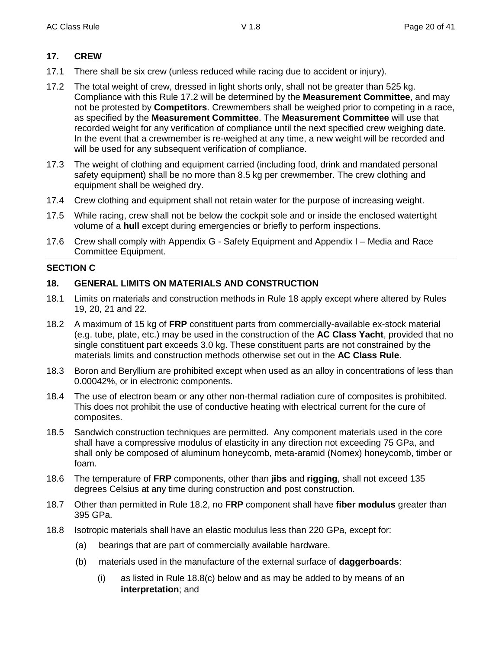## **17. CREW**

- 17.1 There shall be six crew (unless reduced while racing due to accident or injury).
- 17.2 The total weight of crew, dressed in light shorts only, shall not be greater than 525 kg. Compliance with this Rule 17.2 will be determined by the **Measurement Committee**, and may not be protested by **Competitors**. Crewmembers shall be weighed prior to competing in a race, as specified by the **Measurement Committee**. The **Measurement Committee** will use that recorded weight for any verification of compliance until the next specified crew weighing date. In the event that a crewmember is re-weighed at any time, a new weight will be recorded and will be used for any subsequent verification of compliance.
- 17.3 The weight of clothing and equipment carried (including food, drink and mandated personal safety equipment) shall be no more than 8.5 kg per crewmember. The crew clothing and equipment shall be weighed dry.
- 17.4 Crew clothing and equipment shall not retain water for the purpose of increasing weight.
- 17.5 While racing, crew shall not be below the cockpit sole and or inside the enclosed watertight volume of a **hull** except during emergencies or briefly to perform inspections.
- 17.6 Crew shall comply with Appendix G Safety Equipment and Appendix I Media and Race Committee Equipment.

#### **SECTION C**

## **18. GENERAL LIMITS ON MATERIALS AND CONSTRUCTION**

- 18.1 Limits on materials and construction methods in Rule 18 apply except where altered by Rules 19, 20, 21 and 22.
- 18.2 A maximum of 15 kg of **FRP** constituent parts from commercially-available ex-stock material (e.g. tube, plate, etc.) may be used in the construction of the **AC Class Yacht**, provided that no single constituent part exceeds 3.0 kg. These constituent parts are not constrained by the materials limits and construction methods otherwise set out in the **AC Class Rule**.
- 18.3 Boron and Beryllium are prohibited except when used as an alloy in concentrations of less than 0.00042%, or in electronic components.
- 18.4 The use of electron beam or any other non-thermal radiation cure of composites is prohibited. This does not prohibit the use of conductive heating with electrical current for the cure of composites.
- 18.5 Sandwich construction techniques are permitted. Any component materials used in the core shall have a compressive modulus of elasticity in any direction not exceeding 75 GPa, and shall only be composed of aluminum honeycomb, meta-aramid (Nomex) honeycomb, timber or foam.
- 18.6 The temperature of **FRP** components, other than **jibs** and **rigging**, shall not exceed 135 degrees Celsius at any time during construction and post construction.
- 18.7 Other than permitted in Rule 18.2, no **FRP** component shall have **fiber modulus** greater than 395 GPa.
- 18.8 Isotropic materials shall have an elastic modulus less than 220 GPa, except for:
	- (a) bearings that are part of commercially available hardware.
	- (b) materials used in the manufacture of the external surface of **daggerboards**:
		- (i) as listed in Rule 18.8(c) below and as may be added to by means of an **interpretation**; and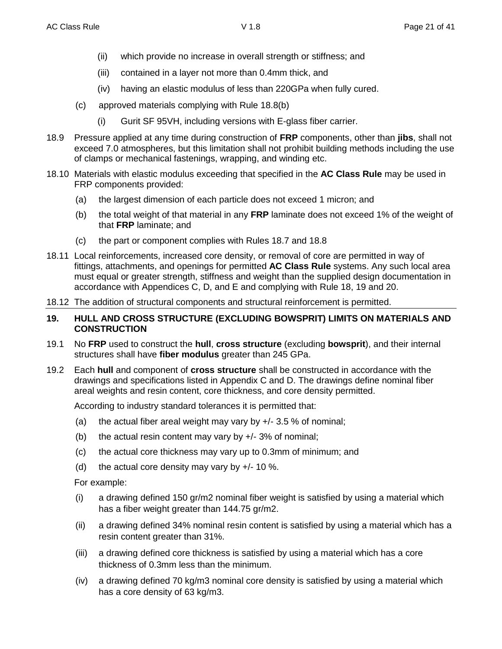- (ii) which provide no increase in overall strength or stiffness; and
- (iii) contained in a layer not more than 0.4mm thick, and
- (iv) having an elastic modulus of less than 220GPa when fully cured.
- (c) approved materials complying with Rule 18.8(b)
	- (i) Gurit SF 95VH, including versions with E-glass fiber carrier.
- 18.9 Pressure applied at any time during construction of **FRP** components, other than **jibs**, shall not exceed 7.0 atmospheres, but this limitation shall not prohibit building methods including the use of clamps or mechanical fastenings, wrapping, and winding etc.
- 18.10 Materials with elastic modulus exceeding that specified in the **AC Class Rule** may be used in FRP components provided:
	- (a) the largest dimension of each particle does not exceed 1 micron; and
	- (b) the total weight of that material in any **FRP** laminate does not exceed 1% of the weight of that **FRP** laminate; and
	- (c) the part or component complies with Rules 18.7 and 18.8
- 18.11 Local reinforcements, increased core density, or removal of core are permitted in way of fittings, attachments, and openings for permitted **AC Class Rule** systems. Any such local area must equal or greater strength, stiffness and weight than the supplied design documentation in accordance with Appendices C, D, and E and complying with Rule 18, 19 and 20.
- 18.12 The addition of structural components and structural reinforcement is permitted.

#### **19. HULL AND CROSS STRUCTURE (EXCLUDING BOWSPRIT) LIMITS ON MATERIALS AND CONSTRUCTION**

- 19.1 No **FRP** used to construct the **hull**, **cross structure** (excluding **bowsprit**), and their internal structures shall have **fiber modulus** greater than 245 GPa.
- 19.2 Each **hull** and component of **cross structure** shall be constructed in accordance with the drawings and specifications listed in Appendix C and D. The drawings define nominal fiber areal weights and resin content, core thickness, and core density permitted.

According to industry standard tolerances it is permitted that:

- (a) the actual fiber areal weight may vary by  $+/- 3.5 \%$  of nominal;
- (b) the actual resin content may vary by  $+/- 3\%$  of nominal;
- (c) the actual core thickness may vary up to 0.3mm of minimum; and
- (d) the actual core density may vary by  $+/- 10$  %.

For example:

- (i) a drawing defined 150 gr/m2 nominal fiber weight is satisfied by using a material which has a fiber weight greater than 144.75 gr/m2.
- (ii) a drawing defined 34% nominal resin content is satisfied by using a material which has a resin content greater than 31%.
- (iii) a drawing defined core thickness is satisfied by using a material which has a core thickness of 0.3mm less than the minimum.
- (iv) a drawing defined 70 kg/m3 nominal core density is satisfied by using a material which has a core density of 63 kg/m3.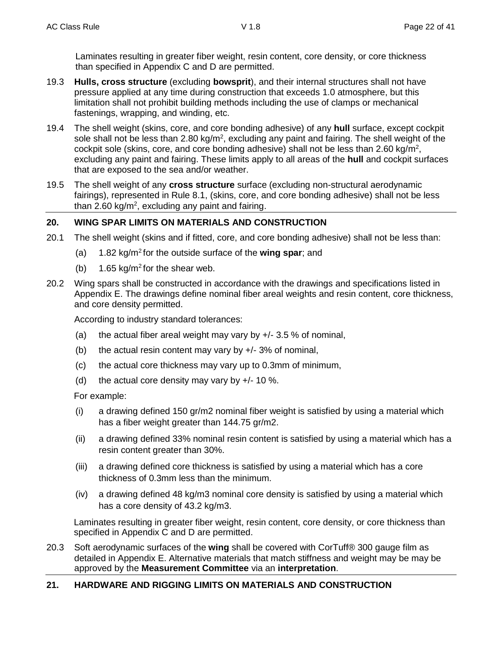Laminates resulting in greater fiber weight, resin content, core density, or core thickness than specified in Appendix C and D are permitted.

- 19.3 **Hulls, cross structure** (excluding **bowsprit**), and their internal structures shall not have pressure applied at any time during construction that exceeds 1.0 atmosphere, but this limitation shall not prohibit building methods including the use of clamps or mechanical fastenings, wrapping, and winding, etc.
- 19.4 The shell weight (skins, core, and core bonding adhesive) of any **hull** surface, except cockpit sole shall not be less than 2.80 kg/m<sup>2</sup>, excluding any paint and fairing. The shell weight of the cockpit sole (skins, core, and core bonding adhesive) shall not be less than 2.60 kg/m<sup>2</sup>, excluding any paint and fairing. These limits apply to all areas of the **hull** and cockpit surfaces that are exposed to the sea and/or weather.
- 19.5 The shell weight of any **cross structure** surface (excluding non-structural aerodynamic fairings), represented in Rule 8.1, (skins, core, and core bonding adhesive) shall not be less than 2.60 kg/m<sup>2</sup>, excluding any paint and fairing.

## **20. WING SPAR LIMITS ON MATERIALS AND CONSTRUCTION**

- 20.1 The shell weight (skins and if fitted, core, and core bonding adhesive) shall not be less than:
	- (a) 1.82 kg/m<sup>2</sup> for the outside surface of the **wing spar**; and
	- (b) 1.65 kg/m<sup>2</sup> for the shear web.
- 20.2 Wing spars shall be constructed in accordance with the drawings and specifications listed in Appendix E. The drawings define nominal fiber areal weights and resin content, core thickness, and core density permitted.

According to industry standard tolerances:

- (a) the actual fiber areal weight may vary by  $+/-$  3.5 % of nominal,
- (b) the actual resin content may vary by  $+/- 3\%$  of nominal,
- (c) the actual core thickness may vary up to 0.3mm of minimum,
- (d) the actual core density may vary by  $+/- 10$  %.

For example:

- (i) a drawing defined 150 gr/m2 nominal fiber weight is satisfied by using a material which has a fiber weight greater than 144.75 gr/m2.
- (ii) a drawing defined 33% nominal resin content is satisfied by using a material which has a resin content greater than 30%.
- (iii) a drawing defined core thickness is satisfied by using a material which has a core thickness of 0.3mm less than the minimum.
- (iv) a drawing defined 48 kg/m3 nominal core density is satisfied by using a material which has a core density of 43.2 kg/m3.

Laminates resulting in greater fiber weight, resin content, core density, or core thickness than specified in Appendix C and D are permitted.

20.3 Soft aerodynamic surfaces of the **wing** shall be covered with CorTuff® 300 gauge film as detailed in Appendix E. Alternative materials that match stiffness and weight may be may be approved by the **Measurement Committee** via an **interpretation**.

## **21. HARDWARE AND RIGGING LIMITS ON MATERIALS AND CONSTRUCTION**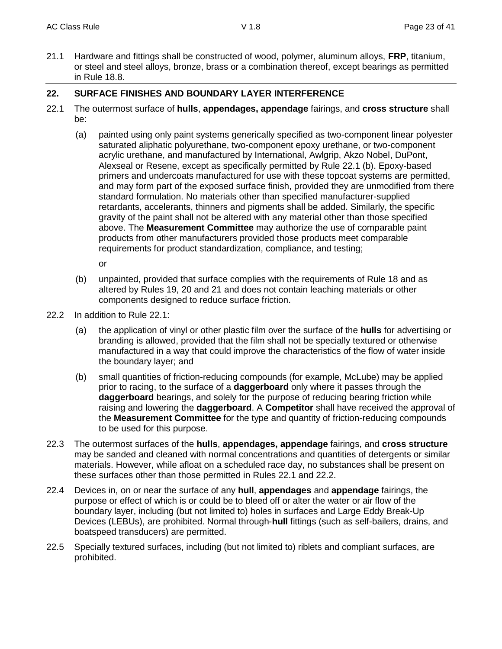21.1 Hardware and fittings shall be constructed of wood, polymer, aluminum alloys, **FRP**, titanium, or steel and steel alloys, bronze, brass or a combination thereof, except bearings as permitted in Rule 18.8.

## **22. SURFACE FINISHES AND BOUNDARY LAYER INTERFERENCE**

- 22.1 The outermost surface of **hulls**, **appendages, appendage** fairings, and **cross structure** shall be:
	- (a) painted using only paint systems generically specified as two-component linear polyester saturated aliphatic polyurethane, two-component epoxy urethane, or two-component acrylic urethane, and manufactured by International, Awlgrip, Akzo Nobel, DuPont, Alexseal or Resene, except as specifically permitted by Rule 22.1 (b). Epoxy-based primers and undercoats manufactured for use with these topcoat systems are permitted, and may form part of the exposed surface finish, provided they are unmodified from there standard formulation. No materials other than specified manufacturer-supplied retardants, accelerants, thinners and pigments shall be added. Similarly, the specific gravity of the paint shall not be altered with any material other than those specified above. The **Measurement Committee** may authorize the use of comparable paint products from other manufacturers provided those products meet comparable requirements for product standardization, compliance, and testing;

or

- (b) unpainted, provided that surface complies with the requirements of Rule 18 and as altered by Rules 19, 20 and 21 and does not contain leaching materials or other components designed to reduce surface friction.
- 22.2 In addition to Rule 22.1:
	- (a) the application of vinyl or other plastic film over the surface of the **hulls** for advertising or branding is allowed, provided that the film shall not be specially textured or otherwise manufactured in a way that could improve the characteristics of the flow of water inside the boundary layer; and
	- (b) small quantities of friction-reducing compounds (for example, McLube) may be applied prior to racing, to the surface of a **daggerboard** only where it passes through the **daggerboard** bearings, and solely for the purpose of reducing bearing friction while raising and lowering the **daggerboard**. A **Competitor** shall have received the approval of the **Measurement Committee** for the type and quantity of friction-reducing compounds to be used for this purpose.
- 22.3 The outermost surfaces of the **hulls**, **appendages, appendage** fairings, and **cross structure** may be sanded and cleaned with normal concentrations and quantities of detergents or similar materials. However, while afloat on a scheduled race day, no substances shall be present on these surfaces other than those permitted in Rules 22.1 and 22.2.
- 22.4 Devices in, on or near the surface of any **hull**, **appendages** and **appendage** fairings, the purpose or effect of which is or could be to bleed off or alter the water or air flow of the boundary layer, including (but not limited to) holes in surfaces and Large Eddy Break-Up Devices (LEBUs), are prohibited. Normal through-**hull** fittings (such as self-bailers, drains, and boatspeed transducers) are permitted.
- 22.5 Specially textured surfaces, including (but not limited to) riblets and compliant surfaces, are prohibited.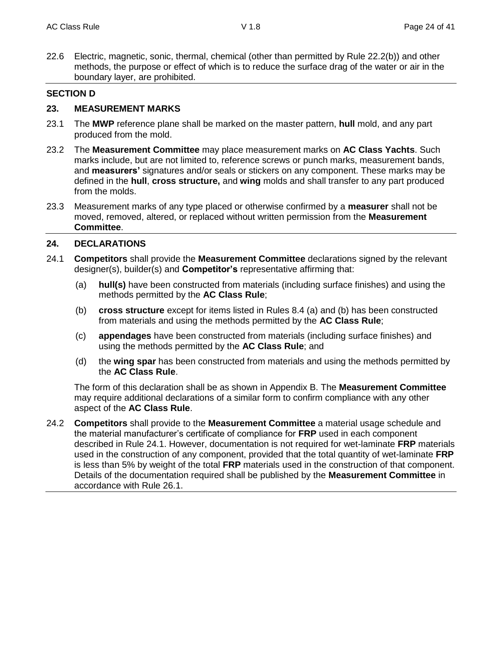22.6 Electric, magnetic, sonic, thermal, chemical (other than permitted by Rule 22.2(b)) and other methods, the purpose or effect of which is to reduce the surface drag of the water or air in the boundary layer, are prohibited.

#### **SECTION D**

#### **23. MEASUREMENT MARKS**

- 23.1 The **MWP** reference plane shall be marked on the master pattern, **hull** mold, and any part produced from the mold.
- 23.2 The **Measurement Committee** may place measurement marks on **AC Class Yachts**. Such marks include, but are not limited to, reference screws or punch marks, measurement bands, and **measurers'** signatures and/or seals or stickers on any component. These marks may be defined in the **hull**, **cross structure,** and **wing** molds and shall transfer to any part produced from the molds.
- 23.3 Measurement marks of any type placed or otherwise confirmed by a **measurer** shall not be moved, removed, altered, or replaced without written permission from the **Measurement Committee**.

#### **24. DECLARATIONS**

- 24.1 **Competitors** shall provide the **Measurement Committee** declarations signed by the relevant designer(s), builder(s) and **Competitor's** representative affirming that:
	- (a) **hull(s)** have been constructed from materials (including surface finishes) and using the methods permitted by the **AC Class Rule**;
	- (b) **cross structure** except for items listed in Rules 8.4 (a) and (b) has been constructed from materials and using the methods permitted by the **AC Class Rule**;
	- (c) **appendages** have been constructed from materials (including surface finishes) and using the methods permitted by the **AC Class Rule**; and
	- (d) the **wing spar** has been constructed from materials and using the methods permitted by the **AC Class Rule**.

The form of this declaration shall be as shown in Appendix B. The **Measurement Committee** may require additional declarations of a similar form to confirm compliance with any other aspect of the **AC Class Rule**.

24.2 **Competitors** shall provide to the **Measurement Committee** a material usage schedule and the material manufacturer's certificate of compliance for **FRP** used in each component described in Rule 24.1. However, documentation is not required for wet-laminate **FRP** materials used in the construction of any component, provided that the total quantity of wet-laminate **FRP** is less than 5% by weight of the total **FRP** materials used in the construction of that component. Details of the documentation required shall be published by the **Measurement Committee** in accordance with Rule 26.1.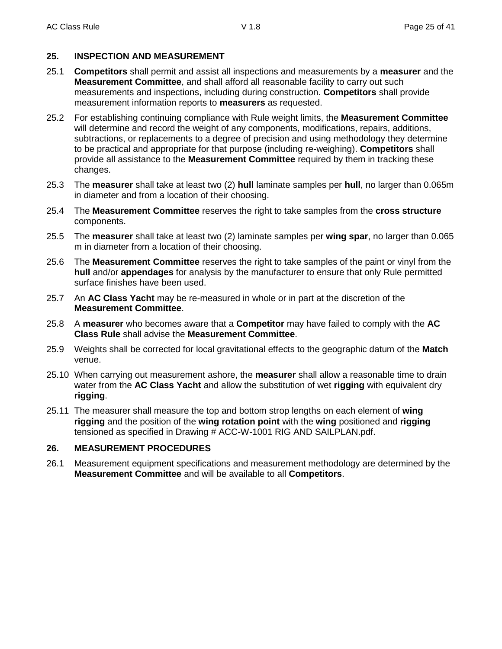## **25. INSPECTION AND MEASUREMENT**

- 25.1 **Competitors** shall permit and assist all inspections and measurements by a **measurer** and the **Measurement Committee**, and shall afford all reasonable facility to carry out such measurements and inspections, including during construction. **Competitors** shall provide measurement information reports to **measurers** as requested.
- 25.2 For establishing continuing compliance with Rule weight limits, the **Measurement Committee** will determine and record the weight of any components, modifications, repairs, additions, subtractions, or replacements to a degree of precision and using methodology they determine to be practical and appropriate for that purpose (including re-weighing). **Competitors** shall provide all assistance to the **Measurement Committee** required by them in tracking these changes.
- 25.3 The **measurer** shall take at least two (2) **hull** laminate samples per **hull**, no larger than 0.065m in diameter and from a location of their choosing.
- 25.4 The **Measurement Committee** reserves the right to take samples from the **cross structure** components.
- 25.5 The **measurer** shall take at least two (2) laminate samples per **wing spar**, no larger than 0.065 m in diameter from a location of their choosing.
- 25.6 The **Measurement Committee** reserves the right to take samples of the paint or vinyl from the **hull** and/or **appendages** for analysis by the manufacturer to ensure that only Rule permitted surface finishes have been used.
- 25.7 An **AC Class Yacht** may be re-measured in whole or in part at the discretion of the **Measurement Committee**.
- 25.8 A **measurer** who becomes aware that a **Competitor** may have failed to comply with the **AC Class Rule** shall advise the **Measurement Committee**.
- 25.9 Weights shall be corrected for local gravitational effects to the geographic datum of the **Match** venue.
- 25.10 When carrying out measurement ashore, the **measurer** shall allow a reasonable time to drain water from the **AC Class Yacht** and allow the substitution of wet **rigging** with equivalent dry **rigging**.
- 25.11 The measurer shall measure the top and bottom strop lengths on each element of **wing rigging** and the position of the **wing rotation point** with the **wing** positioned and **rigging** tensioned as specified in Drawing # ACC-W-1001 RIG AND SAILPLAN.pdf.

## **26. MEASUREMENT PROCEDURES**

26.1 Measurement equipment specifications and measurement methodology are determined by the **Measurement Committee** and will be available to all **Competitors**.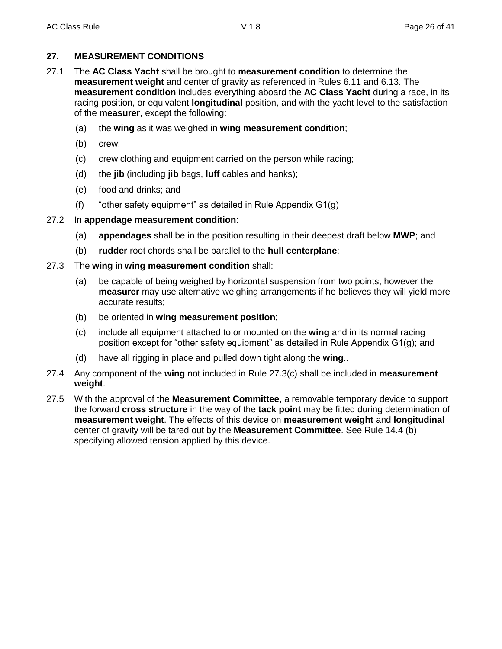## **27. MEASUREMENT CONDITIONS**

- 27.1 The **AC Class Yacht** shall be brought to **measurement condition** to determine the **measurement weight** and center of gravity as referenced in Rules 6.11 and 6.13. The **measurement condition** includes everything aboard the **AC Class Yacht** during a race, in its racing position, or equivalent **longitudinal** position, and with the yacht level to the satisfaction of the **measurer**, except the following:
	- (a) the **wing** as it was weighed in **wing measurement condition**;
	- (b) crew;
	- (c) crew clothing and equipment carried on the person while racing;
	- (d) the **jib** (including **jib** bags, **luff** cables and hanks);
	- (e) food and drinks; and
	- (f) "other safety equipment" as detailed in Rule Appendix G1(g)

## 27.2 In **appendage measurement condition**:

- (a) **appendages** shall be in the position resulting in their deepest draft below **MWP**; and
- (b) **rudder** root chords shall be parallel to the **hull centerplane**;
- 27.3 The **wing** in **wing measurement condition** shall:
	- (a) be capable of being weighed by horizontal suspension from two points, however the **measurer** may use alternative weighing arrangements if he believes they will yield more accurate results;
	- (b) be oriented in **wing measurement position**;
	- (c) include all equipment attached to or mounted on the **wing** and in its normal racing position except for "other safety equipment" as detailed in Rule Appendix G1(g); and
	- (d) have all rigging in place and pulled down tight along the **wing**..
- 27.4 Any component of the **wing** not included in Rule 27.3(c) shall be included in **measurement weight**.
- 27.5 With the approval of the **Measurement Committee**, a removable temporary device to support the forward **cross structure** in the way of the **tack point** may be fitted during determination of **measurement weight**. The effects of this device on **measurement weight** and **longitudinal** center of gravity will be tared out by the **Measurement Committee**. See Rule 14.4 (b) specifying allowed tension applied by this device.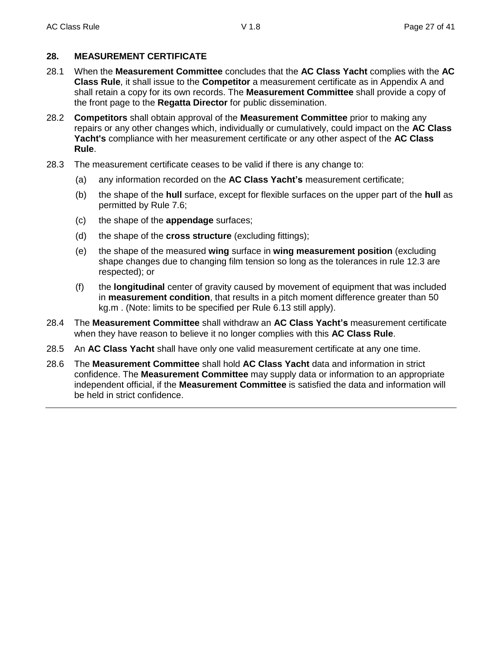## **28. MEASUREMENT CERTIFICATE**

- 28.1 When the **Measurement Committee** concludes that the **AC Class Yacht** complies with the **AC Class Rule**, it shall issue to the **Competitor** a measurement certificate as in Appendix A and shall retain a copy for its own records. The **Measurement Committee** shall provide a copy of the front page to the **Regatta Director** for public dissemination.
- 28.2 **Competitors** shall obtain approval of the **Measurement Committee** prior to making any repairs or any other changes which, individually or cumulatively, could impact on the **AC Class Yacht's** compliance with her measurement certificate or any other aspect of the **AC Class Rule**.
- 28.3 The measurement certificate ceases to be valid if there is any change to:
	- (a) any information recorded on the **AC Class Yacht's** measurement certificate;
	- (b) the shape of the **hull** surface, except for flexible surfaces on the upper part of the **hull** as permitted by Rule 7.6;
	- (c) the shape of the **appendage** surfaces;
	- (d) the shape of the **cross structure** (excluding fittings);
	- (e) the shape of the measured **wing** surface in **wing measurement position** (excluding shape changes due to changing film tension so long as the tolerances in rule 12.3 are respected); or
	- (f) the **longitudinal** center of gravity caused by movement of equipment that was included in **measurement condition**, that results in a pitch moment difference greater than 50 kg.m . (Note: limits to be specified per Rule 6.13 still apply).
- 28.4 The **Measurement Committee** shall withdraw an **AC Class Yacht's** measurement certificate when they have reason to believe it no longer complies with this **AC Class Rule**.
- 28.5 An **AC Class Yacht** shall have only one valid measurement certificate at any one time.
- 28.6 The **Measurement Committee** shall hold **AC Class Yacht** data and information in strict confidence. The **Measurement Committee** may supply data or information to an appropriate independent official, if the **Measurement Committee** is satisfied the data and information will be held in strict confidence.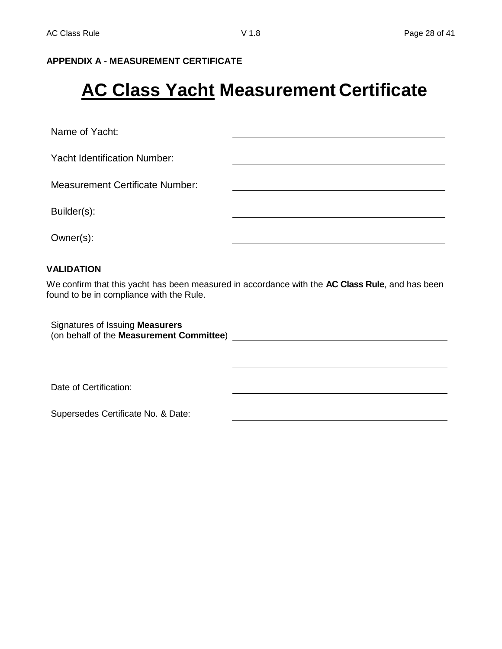## **APPENDIX A - MEASUREMENT CERTIFICATE**

## **AC Class Yacht Measurement Certificate**

Name of Yacht:

Yacht Identification Number:

Measurement Certificate Number:

Builder(s):

Owner(s):

#### **VALIDATION**

We confirm that this yacht has been measured in accordance with the **AC Class Rule**, and has been found to be in compliance with the Rule.

Signatures of Issuing **Measurers** (on behalf of the **Measurement Committee**)

Date of Certification:

Supersedes Certificate No. & Date: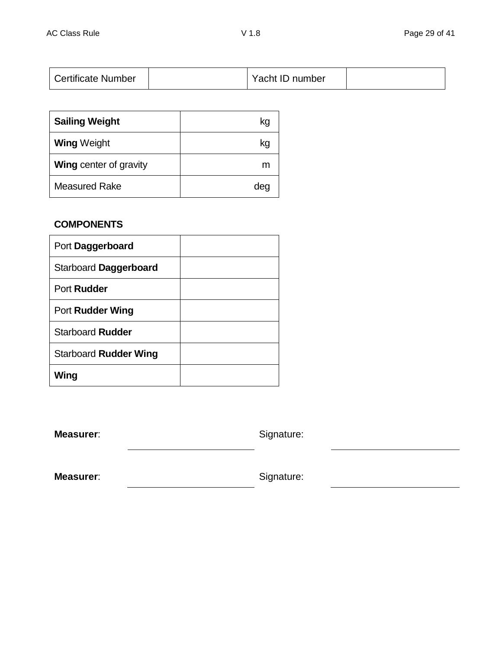| <b>Certificate Number</b> | Yacht ID number |  |
|---------------------------|-----------------|--|
|                           |                 |  |

| <b>Sailing Weight</b>         | kg  |
|-------------------------------|-----|
| <b>Wing Weight</b>            | kg  |
| <b>Wing center of gravity</b> | m   |
| <b>Measured Rake</b>          | dea |

## **COMPONENTS**

| Port Daggerboard             |  |
|------------------------------|--|
| Starboard Daggerboard        |  |
| Port Rudder                  |  |
| Port Rudder Wing             |  |
| <b>Starboard Rudder</b>      |  |
| <b>Starboard Rudder Wing</b> |  |
| Wing                         |  |

**Measurer:** Signature:

**Measurer:** Signature: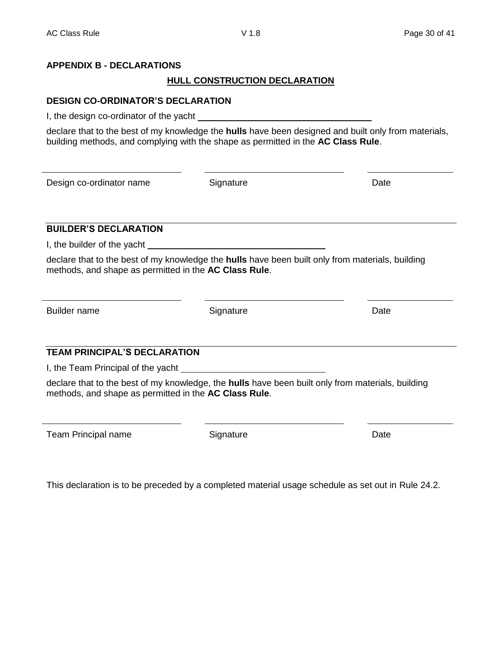## **APPENDIX B - DECLARATIONS**

## **HULL CONSTRUCTION DECLARATION**

## **DESIGN CO-ORDINATOR'S DECLARATION**

I, the design co-ordinator of the yacht

declare that to the best of my knowledge the **hulls** have been designed and built only from materials, building methods, and complying with the shape as permitted in the **AC Class Rule**.

Design co-ordinator name Signature Date

## **BUILDER'S DECLARATION**

I, the builder of the yacht

declare that to the best of my knowledge the **hulls** have been built only from materials, building methods, and shape as permitted in the **AC Class Rule**.

Builder name **Signature Container Exercise Container Container Container Container Container Container Date** 

## **TEAM PRINCIPAL'S DECLARATION**

I, the Team Principal of the yacht

declare that to the best of my knowledge, the **hulls** have been built only from materials, building methods, and shape as permitted in the **AC Class Rule**.

Team Principal name **Signature** Signature **Date** Date

This declaration is to be preceded by a completed material usage schedule as set out in Rule 24.2.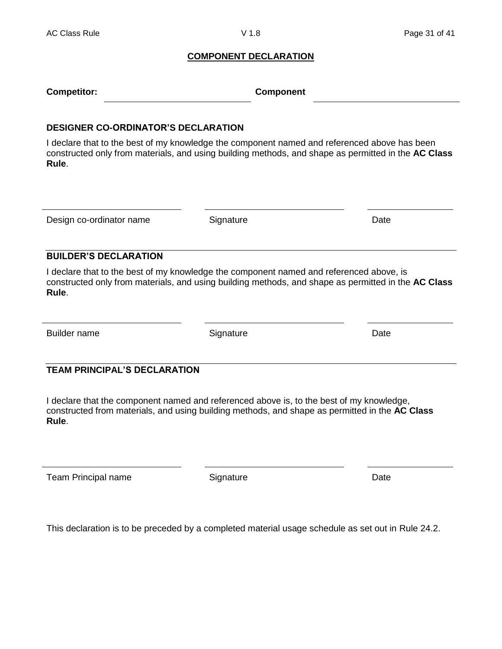#### **COMPONENT DECLARATION**

| <b>Competitor:</b> | Component |
|--------------------|-----------|
|                    |           |

#### **DESIGNER CO-ORDINATOR'S DECLARATION**

I declare that to the best of my knowledge the component named and referenced above has been constructed only from materials, and using building methods, and shape as permitted in the **AC Class Rule**.

Design co-ordinator name Signature Date

#### **BUILDER'S DECLARATION**

I declare that to the best of my knowledge the component named and referenced above, is constructed only from materials, and using building methods, and shape as permitted in the **AC Class Rule**.

Builder name **Signature Contact System Contact Contact Contact Contact Contact Contact Contact Contact Contact Contact Contact Contact Contact Contact Contact Contact Contact Contact Contact Contact Contact Contact Conta** 

## **TEAM PRINCIPAL'S DECLARATION**

I declare that the component named and referenced above is, to the best of my knowledge, constructed from materials, and using building methods, and shape as permitted in the **AC Class Rule**.

Team Principal name **Signature** Signature **Date** Date

This declaration is to be preceded by a completed material usage schedule as set out in Rule 24.2.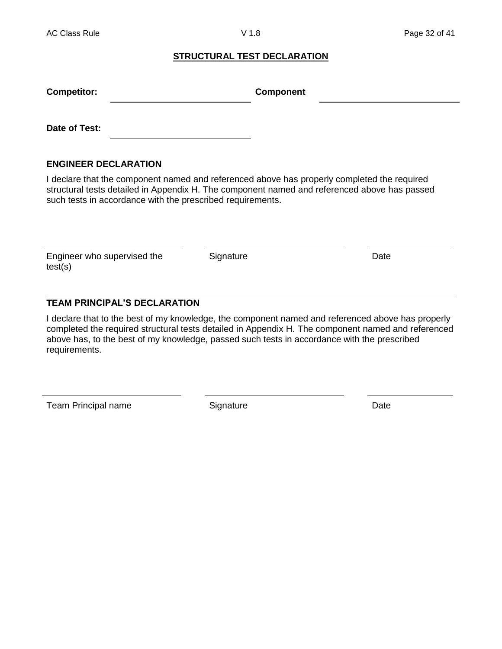#### **STRUCTURAL TEST DECLARATION**

| <b>Competitor:</b>          | <b>Component</b> |  |
|-----------------------------|------------------|--|
| Date of Test:               |                  |  |
| <b>ENGINEER DECLARATION</b> |                  |  |

I declare that the component named and referenced above has properly completed the required structural tests detailed in Appendix H. The component named and referenced above has passed such tests in accordance with the prescribed requirements.

Engineer who supervised the test(s)

Signature Date

## **TEAM PRINCIPAL'S DECLARATION**

I declare that to the best of my knowledge, the component named and referenced above has properly completed the required structural tests detailed in Appendix H. The component named and referenced above has, to the best of my knowledge, passed such tests in accordance with the prescribed requirements.

Team Principal name Signature Signature Date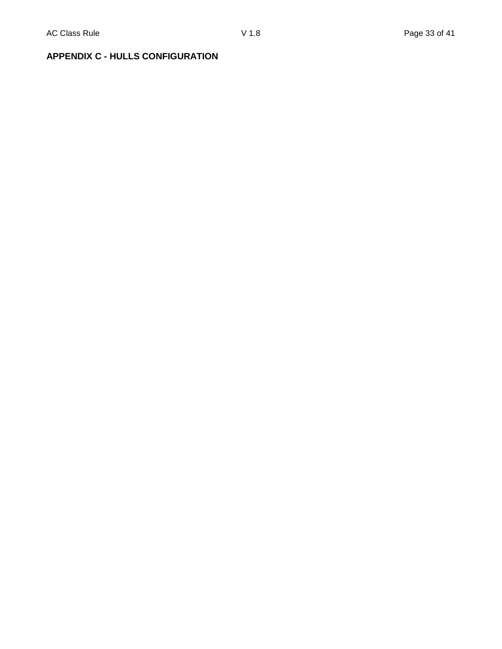## **APPENDIX C - HULLS CONFIGURATION**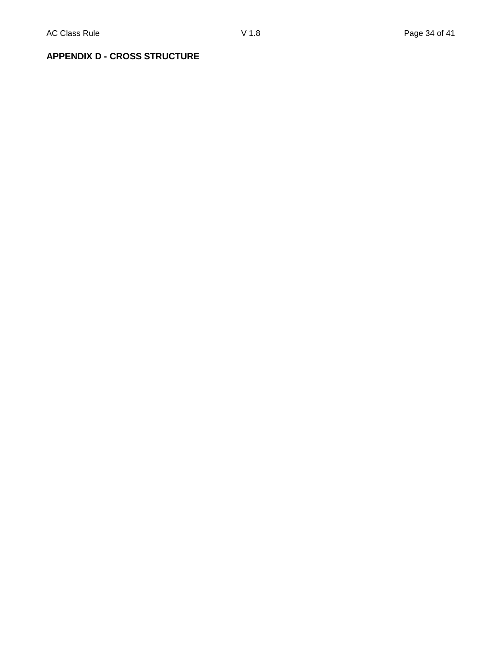## **APPENDIX D - CROSS STRUCTURE**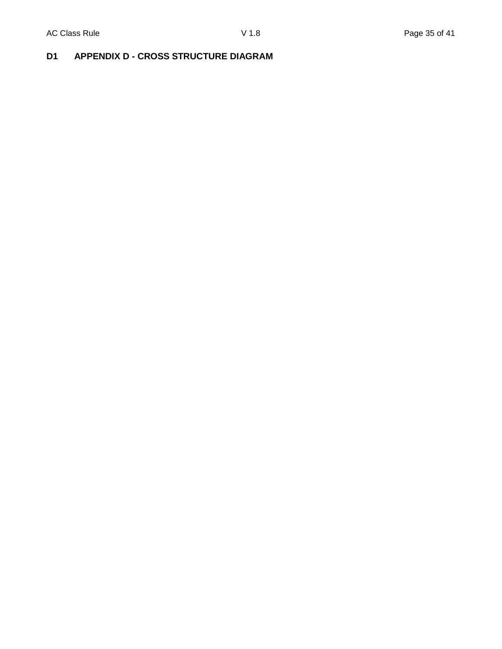## **D1 APPENDIX D - CROSS STRUCTURE DIAGRAM**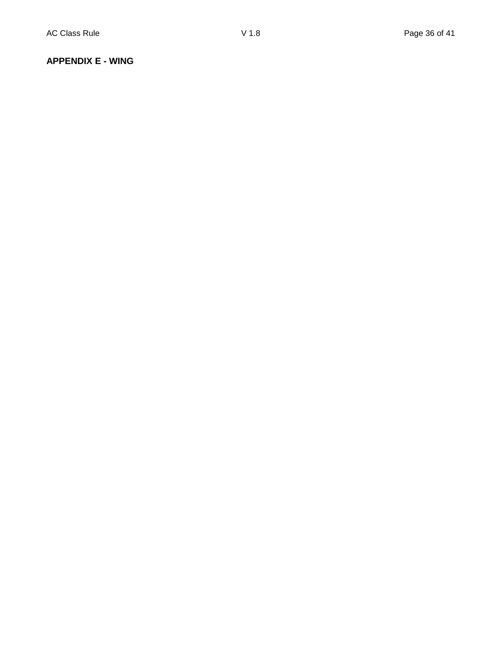#### **APPENDIX E - WING**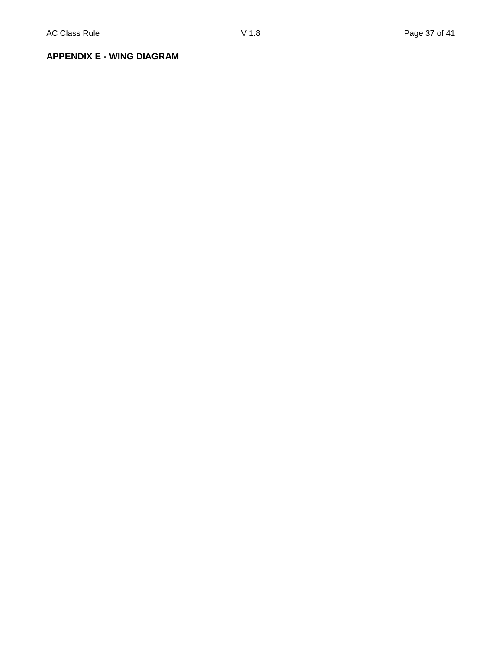**APPENDIX E - WING DIAGRAM**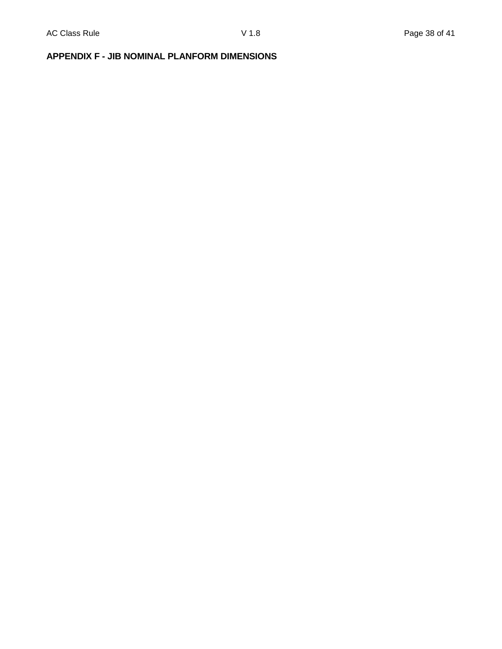## **APPENDIX F - JIB NOMINAL PLANFORM DIMENSIONS**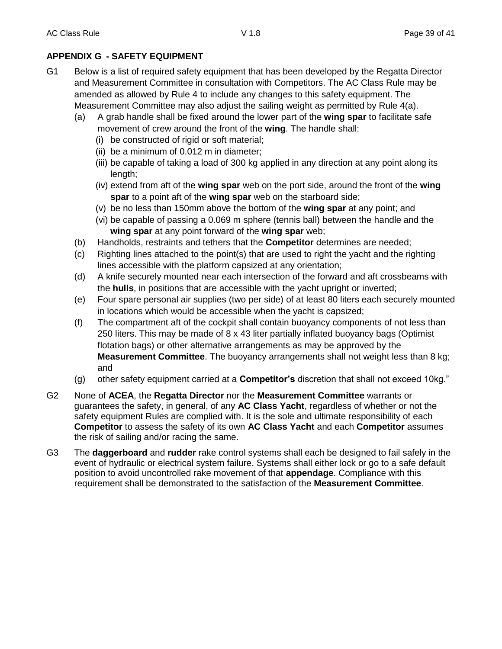## **APPENDIX G - SAFETY EQUIPMENT**

- G1 Below is a list of required safety equipment that has been developed by the Regatta Director and Measurement Committee in consultation with Competitors. The AC Class Rule may be amended as allowed by Rule 4 to include any changes to this safety equipment. The Measurement Committee may also adjust the sailing weight as permitted by Rule 4(a).
	- (a) A grab handle shall be fixed around the lower part of the **wing spar** to facilitate safe movement of crew around the front of the **wing**. The handle shall:
		- (i) be constructed of rigid or soft material;
		- (ii) be a minimum of 0.012 m in diameter;
		- (iii) be capable of taking a load of 300 kg applied in any direction at any point along its length;
		- (iv) extend from aft of the **wing spar** web on the port side, around the front of the **wing spar** to a point aft of the **wing spar** web on the starboard side;
		- (v) be no less than 150mm above the bottom of the **wing spar** at any point; and
		- (vi) be capable of passing a 0.069 m sphere (tennis ball) between the handle and the **wing spar** at any point forward of the **wing spar** web;
	- (b) Handholds, restraints and tethers that the **Competitor** determines are needed;
	- (c) Righting lines attached to the point(s) that are used to right the yacht and the righting lines accessible with the platform capsized at any orientation;
	- (d) A knife securely mounted near each intersection of the forward and aft crossbeams with the **hulls**, in positions that are accessible with the yacht upright or inverted;
	- (e) Four spare personal air supplies (two per side) of at least 80 liters each securely mounted in locations which would be accessible when the yacht is capsized;
	- (f) The compartment aft of the cockpit shall contain buoyancy components of not less than 250 liters. This may be made of 8 x 43 liter partially inflated buoyancy bags (Optimist flotation bags) or other alternative arrangements as may be approved by the **Measurement Committee**. The buoyancy arrangements shall not weight less than 8 kg; and
	- (g) other safety equipment carried at a **Competitor's** discretion that shall not exceed 10kg."
- G2 None of **ACEA**, the **Regatta Director** nor the **Measurement Committee** warrants or guarantees the safety, in general, of any **AC Class Yacht**, regardless of whether or not the safety equipment Rules are complied with. It is the sole and ultimate responsibility of each **Competitor** to assess the safety of its own **AC Class Yacht** and each **Competitor** assumes the risk of sailing and/or racing the same.
- G3 The **daggerboard** and **rudder** rake control systems shall each be designed to fail safely in the event of hydraulic or electrical system failure. Systems shall either lock or go to a safe default position to avoid uncontrolled rake movement of that **appendage**. Compliance with this requirement shall be demonstrated to the satisfaction of the **Measurement Committee**.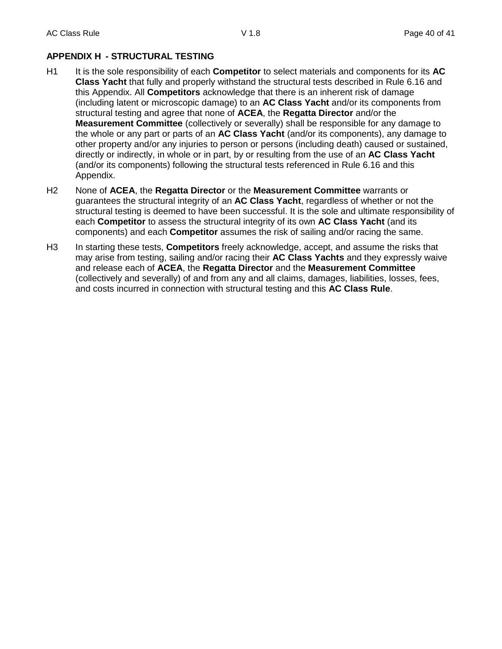## **APPENDIX H - STRUCTURAL TESTING**

- H1 It is the sole responsibility of each **Competitor** to select materials and components for its **AC Class Yacht** that fully and properly withstand the structural tests described in Rule 6.16 and this Appendix. All **Competitors** acknowledge that there is an inherent risk of damage (including latent or microscopic damage) to an **AC Class Yacht** and/or its components from structural testing and agree that none of **ACEA**, the **Regatta Director** and/or the **Measurement Committee** (collectively or severally) shall be responsible for any damage to the whole or any part or parts of an **AC Class Yacht** (and/or its components), any damage to other property and/or any injuries to person or persons (including death) caused or sustained, directly or indirectly, in whole or in part, by or resulting from the use of an **AC Class Yacht** (and/or its components) following the structural tests referenced in Rule 6.16 and this Appendix.
- H2 None of **ACEA**, the **Regatta Director** or the **Measurement Committee** warrants or guarantees the structural integrity of an **AC Class Yacht**, regardless of whether or not the structural testing is deemed to have been successful. It is the sole and ultimate responsibility of each **Competitor** to assess the structural integrity of its own **AC Class Yacht** (and its components) and each **Competitor** assumes the risk of sailing and/or racing the same.
- H3 In starting these tests, **Competitors** freely acknowledge, accept, and assume the risks that may arise from testing, sailing and/or racing their **AC Class Yachts** and they expressly waive and release each of **ACEA**, the **Regatta Director** and the **Measurement Committee** (collectively and severally) of and from any and all claims, damages, liabilities, losses, fees, and costs incurred in connection with structural testing and this **AC Class Rule**.